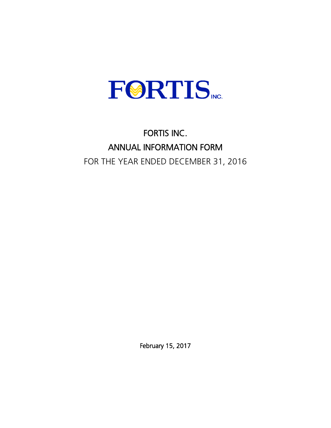

# FORTIS INC. ANNUAL INFORMATION FORM FOR THE YEAR ENDED DECEMBER 31, 2016

February 15, 2017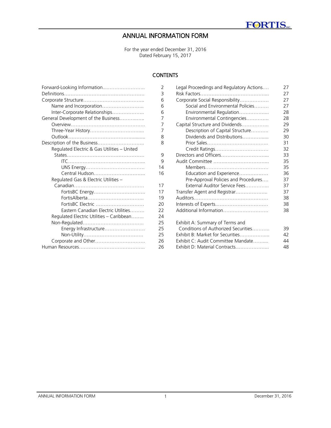# ANNUAL INFORMATION FORM

For the year ended December 31, 2016 Dated February 15, 2017

# **CONTENTS**

| Forward-Looking Information                 | $\overline{2}$ | Legal Proceedings and Regulatory |
|---------------------------------------------|----------------|----------------------------------|
|                                             | 3              | Risk Factors                     |
|                                             | 6              | Corporate Social Responsibility  |
|                                             | 6              | Social and Environmental Poli    |
| Inter-Corporate Relationships               | 6              | Environmental Regulation         |
| General Development of the Business         | 7              | Environmental Contingencies      |
|                                             | 7              | Capital Structure and Dividends  |
|                                             | 7              | Description of Capital Structu   |
|                                             | 8              | Dividends and Distributions      |
| Description of the Business                 | 8              | Prior Sales                      |
| Regulated Electric & Gas Utilities - United |                | Credit Ratings                   |
|                                             | 9              | Directors and Officers           |
|                                             | 9              | Audit Committee                  |
|                                             | 14             | Members                          |
| Central Hudson                              | 16             | Education and Experience         |
| Regulated Gas & Electric Utilities -        |                | Pre-Approval Policies and Pro    |
|                                             | 17             | External Auditor Service Fees.   |
| FortisBC Energy                             | 17             | Transfer Agent and Registrar     |
|                                             | 19             | Auditors                         |
| FortisBC Electric                           | 20             | Interests of Experts             |
| Eastern Canadian Electric Utilities         | 22             | Additional Information           |
| Regulated Electric Utilities - Caribbean    | 24             |                                  |
|                                             | 25             | Exhibit A: Summary of Terms and  |
| Energy Infrastructure                       | 25             | Conditions of Authorized Securit |
|                                             | 25             | Exhibit B: Market for Securities |
|                                             | 26             | Exhibit C: Audit Committee Mand  |
|                                             | 26             | Exhibit D: Material Contracts    |
|                                             |                |                                  |

| Forward-Looking Information                 | 2  | Legal Proceedings and Regulatory Actions | 27 |
|---------------------------------------------|----|------------------------------------------|----|
|                                             | 3  |                                          | 27 |
|                                             | 6  | Corporate Social Responsibility          | 27 |
| Name and Incorporation                      | 6  | Social and Environmental Policies        | 27 |
| Inter-Corporate Relationships               | 6  | Environmental Regulation                 | 28 |
| General Development of the Business         | 7  | Environmental Contingencies              | 28 |
|                                             | 7  | Capital Structure and Dividends          | 29 |
|                                             | 7  | Description of Capital Structure         | 29 |
|                                             | 8  | Dividends and Distributions              | 30 |
| Description of the Business                 | 8  |                                          | 31 |
| Regulated Electric & Gas Utilities - United |    | Credit Ratings                           | 32 |
|                                             | 9  | Directors and Officers                   | 33 |
|                                             | 9  |                                          | 35 |
|                                             | 14 |                                          | 35 |
|                                             | 16 | Education and Experience                 | 36 |
| Regulated Gas & Electric Utilities -        |    | Pre-Approval Policies and Procedures     | 37 |
|                                             | 17 | External Auditor Service Fees            | 37 |
| FortisBC Energy                             | 17 | Transfer Agent and Registrar             | 37 |
|                                             | 19 |                                          | 38 |
| FortisBC Electric                           | 20 |                                          | 38 |
| Eastern Canadian Electric Utilities         | 22 | Additional Information                   | 38 |
| Regulated Electric Utilities - Caribbean    | 24 |                                          |    |
|                                             | 25 | Exhibit A: Summary of Terms and          |    |
| Energy Infrastructure                       | 25 | Conditions of Authorized Securities      | 39 |
|                                             | 25 | Exhibit B: Market for Securities         | 42 |
| Corporate and Other                         | 26 | Exhibit C: Audit Committee Mandate       | 44 |
|                                             | 26 | Exhibit D: Material Contracts            | 48 |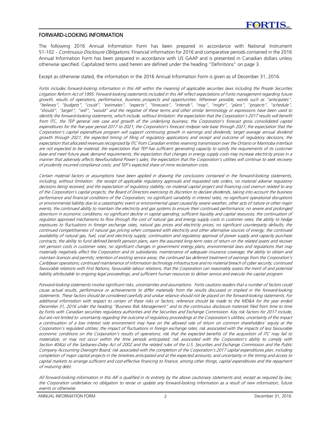# FORWARD-LOOKING INFORMATION

The following 2016 Annual Information Form has been prepared in accordance with National Instrument 51-102 - Continuous Disclosure Obligations. Financial information for 2016 and comparative periods contained in the 2016 Annual Information Form has been prepared in accordance with US GAAP and is presented in Canadian dollars unless otherwise specified. Capitalized terms used herein are defined under the heading "Definitions" on page 3.

Except as otherwise stated, the information in the 2016 Annual Information Form is given as of December 31, 2016.

Fortis includes forward-looking information in this AIF within the meaning of applicable securities laws including the Private Securities Litigation Reform Act of 1995. Forward-looking statements included in this AIF reflect expectations of Fortis management regarding future growth, results of operations, performance, business prospects and opportunities. Wherever possible, words such as "anticipates", "believes", "budgets", "could", "estimates", "expects", "forecasts", "intends", "may", "might", "plans", "projects", "schedule", "should", "target", "will", "would" and the negative of these terms and other similar terminology or expressions have been used to identify the forward-looking statements, which include, without limitation: the expectation that the Corporation's 2017 results will benefit from ITC, the TEP general rate case and growth of the underlying business; the Corporation's forecast gross consolidated capital expenditures for the five-year period 2017 to 2021; the Corporation's forecast midyear rate base through 2021; the expectation that the Corporation's capital expenditure program will support continuing growth in earnings and dividends; target average annual dividend growth through 2021; the expected timing of filing of regulatory applications and receipt and outcome of regulatory decisions; the expectation that allocated revenues recognized by ITC from Canadian entities reserving transmission over the Ontario or Manitoba interface are not expected to be material; the expectation that TEP has sufficient generating capacity to satisfy the requirements of its customer base and meet future peak demand requirements; the expectation that changes in energy supply costs may increase electricity prices in a manner that adversely affects Newfoundland Power's sales; the expectation that the Corporation's utilities will continue to seek recovery of prudently incurred compliance costs; and TEP's expected share of mine reclamation costs.

Certain material factors or assumptions have been applied in drawing the conclusions contained in the forward-looking statements, including, without limitation: the receipt of applicable regulatory approvals and requested rate orders, no material adverse regulatory decisions being received, and the expectation of regulatory stability; no material capital project and financing cost overrun related to any of the Corporation's capital projects; the Board of Directors exercising its discretion to declare dividends, taking into account the business performance and financial conditions of the Corporation; no significant variability in interest rates; no significant operational disruptions or environmental liability due to <sup>a</sup> catastrophic event or environmental upset caused by severe weather, other acts of nature or other major events; the continued ability to maintain the electricity and gas systems to ensure their continued performance; no severe and prolonged downturn in economic conditions; no significant decline in capital spending; sufficient liquidity and capital resources; the continuation of regulator approved mechanisms to flow through the cost of natural gas and energy supply costs in customer rates; the ability to hedge exposures to fluctuations in foreign exchange rates, natural gas prices and electricity prices; no significant counterparty defaults; the continued competitiveness of natural gas pricing when compared with electricity and other alternative sources of energy; the continued availability of natural gas, fuel, coal and electricity supply; continuation and regulatory approval of power supply and capacity purchase contracts; the ability to fund defined benefit pension plans, earn the assumed long-term rates of return on the related assets and recover net pension costs in customer rates; no significant changes in government energy plans, environmental laws and regulations that may materially negatively affect the Corporation and its subsidiaries; maintenance of adequate insurance coverage; the ability to obtain and maintain licences and permits; retention of existing service areas; the continued tax deferred treatment of earnings from the Corporation's Caribbean operations; continued maintenance of information technology infrastructure and no material breach of cyber security; continued favourable relations with First Nations; favourable labour relations; that the Corporation can reasonably assess the merit of and potential liability attributable to ongoing legal proceedings; and sufficient human resources to deliver service and execute the capital program.

Forward-looking statements involve significant risks, uncertainties and assumptions. Fortis cautions readers that <sup>a</sup> number of factors could cause actual results, performance or achievements to differ materially from the results discussed or implied in the forward-looking statements. These factors should be considered carefully and undue reliance should not be placed on the forward-looking statements. For additional information with respect to certain of these risks or factors, reference should be made to the MD&A for the year ended December 31, 2016 under the heading "Business Risk Management" and to the continuous disclosure materials filed from time to time by Fortis with Canadian securities regulatory authorities and the Securities and Exchange Commission. Key risk factors for 2017 include, but are not limited to: uncertainty regarding the outcome of regulatory proceedings at the Corporation's utilities; uncertainty of the impact <sup>a</sup> continuation of <sup>a</sup> low interest rate environment may have on the allowed rate of return on common shareholders' equity at the Corporation's regulated utilities; the impact of fluctuations in foreign exchange rates; risk associated with the impacts of less favourable economic conditions on the Corporation's results of operations; risk that the expected benefits of the acquisition of ITC may fail to materialize, or may not occur within the time periods anticipated; risk associated with the Corporation's ability to comply with Section 404(a) of the Sarbanes-Oxley Act of 2002 and the related rules of the U.S. Securities and Exchange Commission and the Public Company Accounting Oversight Board; risk associated with the completion of the Corporation's 2017 capital expenditures plan, including completion of major capital projects in the timelines anticipated and at the expected amounts; and uncertainty in the timing and access to capital markets to arrange sufficient and cost-effective financing to finance, among other things, capital expenditures and the repayment of maturing debt.

All forward-looking information in this AIF is qualified in its entirety by the above cautionary statements and, except as required by law, the Corporation undertakes no obligation to revise or update any forward-looking information as <sup>a</sup> result of new information, future events or otherwise.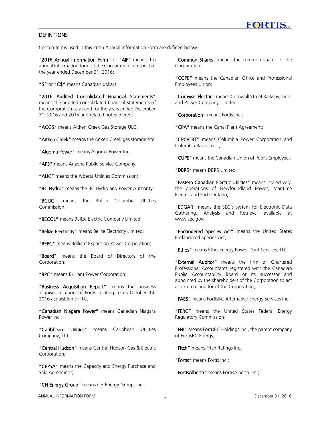# **DEFINITIONS**

Certain terms used in this 2016 Annual Information Form are defined below:

"2016 Annual Information Form" or "AIF" means this annual information form of the Corporation in respect of the year ended December 31, 2016;

"\$" or "C\$" means Canadian dollars:

"2016 Audited Consolidated Financial Statements" means the audited consolidated financial statements of the Corporation as at and for the years ended December 31, 2016 and 2015 and related notes thereto;

"ACGS" means Aitken Creek Gas Storage ULC;

"Aitken Creek" means the Aitken Creek gas storage site;

"Algoma Power" means Algoma Power Inc.;

"APS" means Arizona Public Service Company;

"AUC" means the Alberta Utilities Commission;

"BC Hydro" means the BC Hydro and Power Authority;

"BCUC" means the British Columbia Utilities Commission;

"BECOL" means Belize Electric Company Limited;

"Belize Electricity" means Belize Electricity Limited;

"BEPC" means Brilliant Expansion Power Corporation;

"Board" means the Board of Directors of the Corporation;

"BPC" means Brilliant Power Corporation;

"Business Acquisition Report" means the business acquisition report of Fortis relating to its October 14, 2016 acquisition of ITC;

"Canadian Niagara Power" means Canadian Niagara Power Inc.;

"Caribbean Utilities" means Caribbean Utilities Company, Ltd.;

"Central Hudson" means Central Hudson Gas & Electric Corporation;

"CEPSA" means the Capacity and Energy Purchase and Sale Agreement:

"CH Energy Group" means CH Energy Group, Inc.;

"Common Shares" means the common shares of the Corporation;

"COPE" means the Canadian Office and Professional Employees Union;

"Cornwall Electric" means Cornwall Street Railway, Light and Power Company, Limited;

"Corporation" means Fortis Inc.;

"CPA" means the Canal Plant Agreement;

"CPC/CBT" means Columbia Power Corporation and Columbia Basin Trust;

"CUPE" means the Canadian Union of Public Employees;

"DBRS" means DBRS Limited;

"Eastern Canadian Electric Utilities" means, collectively, the operations of Newfoundland Power, Maritime Electric and FortisOntario;

"EDGAR" means the SEC's system for Electronic Data Gathering, Analysis and Retrieval available at www.sec.gov;

"Endangered Species Act" means the United States Endangered Species Act;

"Ethos" means EthosEnergy Power Plant Services, LLC;

"External Auditor" means the firm of Chartered Professional Accountants registered with the Canadian Public Accountability Board or its successor and appointed by the shareholders of the Corporation to act as external auditor of the Corporation;

"FAES" means FortisBC Alternative Energy Services Inc.;

"FERC" means the United States Federal Energy Regulatory Commission;

"FHI" means FortisBC Holdings Inc., the parent company of FortisBC Energy;

"Fitch" means Fitch Ratings Inc.;

"Fortis" means Fortis Inc.;

"FortisAlberta" means FortisAlberta Inc.;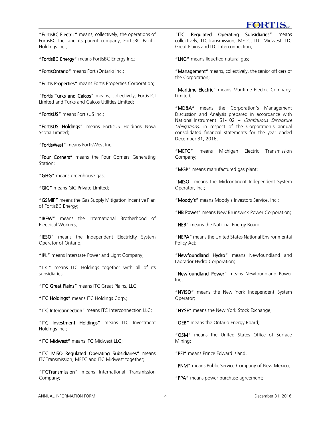

"FortisBC Electric" means, collectively, the operations of FortisBC Inc. and its parent company, FortisBC Pacific Holdings Inc.;

"FortisBC Energy" means FortisBC Energy Inc.;

"FortisOntario" means FortisOntario Inc.;

"Fortis Properties" means Fortis Properties Corporation;

"Fortis Turks and Caicos" means, collectively, FortisTCI Limited and Turks and Caicos Utilities Limited;

"FortisUS" means FortisUS Inc.;

"FortisUS Holdings" means FortisUS Holdings Nova Scotia Limited;

"FortisWest" means FortisWest Inc.;

"Four Corners" means the Four Corners Generating Station;

"GHG" means greenhouse gas;

"GIC" means GIC Private Limited;

"GSMIP" means the Gas Supply Mitigation Incentive Plan of FortisBC Energy;

"IBEW" means the International Brotherhood of Electrical Workers;

"IESO" means the Independent Electricity System Operator of Ontario;

"IPL" means Interstate Power and Light Company;

"ITC" means ITC Holdings together with all of its subsidiaries;

"ITC Great Plains" means ITC Great Plains, LLC;

"ITC Holdings" means ITC Holdings Corp.;

"ITC Interconnection" means ITC Interconnection LLC;

"ITC Investment Holdings" means ITC Investment Holdings Inc.;

"ITC Midwest" means ITC Midwest LLC;

"ITC MISO Regulated Operating Subsidiaries" means ITCTransmission, METC and ITC Midwest together;

"ITCTransmission" means International Transmission Company;

"ITC Regulated Operating Subsidiaries" means collectively, ITCTransmission, METC, ITC Midwest, ITC Great Plains and ITC Interconnection;

"LNG" means liquefied natural gas;

"Management" means, collectively, the senior officers of the Corporation;

"Maritime Electric" means Maritime Electric Company, Limited;

"MD&A" means the Corporation's Management Discussion and Analysis prepared in accordance with National Instrument 51-102 - Continuous Disclosure Obligations, in respect of the Corporation's annual consolidated financial statements for the year ended December 31, 2016;

"METC" means Michigan Electric Transmission Company;

"MGP" means manufactured gas plant;

"MISO" means the Midcontinent Independent System Operator, Inc.;

"Moody's" means Moody's Investors Service, Inc.:

"NB Power" means New Brunswick Power Corporation;

"NEB" means the National Energy Board;

"NEPA" means the United States National Environmental Policy Act;

"Newfoundland Hydro" means Newfoundland and Labrador Hydro Corporation;

"Newfoundland Power" means Newfoundland Power  $Inc$ :

"NYISO" means the New York Independent System Operator;

"NYSE" means the New York Stock Exchange;

"OEB" means the Ontario Energy Board:

"OSM" means the United States Office of Surface Mining;

"PEI" means Prince Edward Island;

"PNM" means Public Service Company of New Mexico;

"PPA" means power purchase agreement;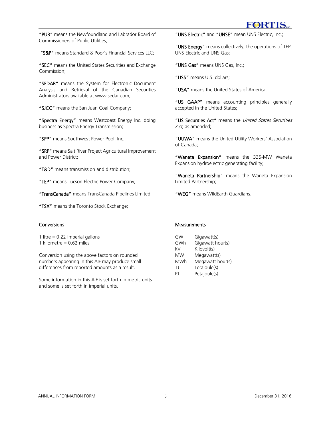

"PUB" means the Newfoundland and Labrador Board of Commissioners of Public Utilities;

"S&P" means Standard & Poor's Financial Services LLC;

"SEC" means the United States Securities and Exchange Commission;

"SEDAR" means the System for Electronic Document Analysis and Retrieval of the Canadian Securities Administrators available at www.sedar.com;

"SJCC" means the San Juan Coal Company;

"Spectra Energy" means Westcoast Energy Inc. doing business as Spectra Energy Transmission;

"SPP" means Southwest Power Pool, Inc.;

"SRP" means Salt River Project Agricultural Improvement and Power District;

"T&D" means transmission and distribution;

"TEP" means Tucson Electric Power Company;

"TransCanada" means TransCanada Pipelines Limited;

"TSX" means the Toronto Stock Exchange;

# **Conversions**

1 litre  $= 0.22$  imperial gallons

1 kilometre = 0.62 miles

Conversion using the above factors on rounded numbers appearing in this AIF may produce small differences from reported amounts as a result.

Some information in this AIF is set forth in metric units and some is set forth in imperial units.

"UNS Electric" and "UNSE" mean UNS Electric, Inc.;

"UNS Energy" means collectively, the operations of TEP, UNS Electric and UNS Gas;

"UNS Gas" means UNS Gas, Inc.;

"US\$" means U.S. dollars;

"USA" means the United States of America;

"US GAAP" means accounting principles generally accepted in the United States;

"US Securities Act" means the United States Securities Act, as amended;

"UUWA" means the United Utility Workers' Association of Canada;

"Waneta Expansion" means the 335-MW Waneta Expansion hydroelectric generating facility;

"Waneta Partnership" means the Waneta Expansion Limited Partnership;

"WEG" means WildEarth Guardians.

# **Measurements**

| GW  | Gigawatt(s)      |
|-----|------------------|
| GWh | Gigawatt hour(s) |
| kV  | Kilovolt(s)      |
| MW  | Megawatt(s)      |
| MWh | Megawatt hour(s) |
| ΤI  | Terajoule(s)     |
| PI  | Petajoule(s)     |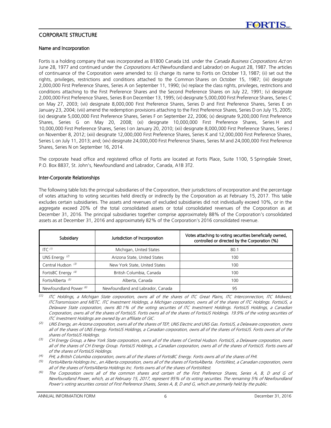

# CORPORATE STRUCTURE

#### Name and Incorporation

Fortis is a holding company that was incorporated as 81800 Canada Ltd. under the Canada Business Corporations Act on June 28, 1977 and continued under the *Corporations Act* (Newfoundland and Labrador) on August 28, 1987. The articles of continuance of the Corporation were amended to: (i) change its name to Fortis on October 13, 1987; (ii) set out the rights, privileges, restrictions and conditions attached to the Common Shares on October 15, 1987; (iii) designate 2,000,000 First Preference Shares, Series A on September 11, 1990; (iv) replace the class rights, privileges, restrictions and conditions attaching to the First Preference Shares and the Second Preference Shares on July 22, 1991; (v) designate 2,000,000 First Preference Shares, Series B on December 13, 1995; (vi) designate 5,000,000 First Preference Shares, Series C on May 27, 2003; (vii) designate 8,000,000 First Preference Shares, Series D and First Preference Shares, Series E on January 23, 2004; (viii) amend the redemption provisions attaching to the First Preference Shares, Series D on July 15, 2005; (ix) designate 5,000,000 First Preference Shares, Series F on September 22, 2006; (x) designate 9,200,000 First Preference Shares, Series G on May 20, 2008; (xi) designate 10,000,000 First Preference Shares, Series H and 10,000,000 First Preference Shares, Series I on January 20, 2010; (xii) designate 8,000,000 First Preference Shares, Series J on November 8, 2012; (xiii) designate 12,000,000 First Preference Shares, Series K and 12,000,000 First Preference Shares, Series L on July 11, 2013; and; (xiv) designate 24,000,000 First Preference Shares, Series M and 24,000,000 First Preference Shares, Series N on September 16, 2014.

The corporate head office and registered office of Fortis are located at Fortis Place, Suite 1100, 5 Springdale Street, P.O. Box 8837, St. John's, Newfoundland and Labrador, Canada, A1B 3T2.

#### Inter-Corporate Relationships

The following table lists the principal subsidiaries of the Corporation, their jurisdictions of incorporation and the percentage of votes attaching to voting securities held directly or indirectly by the Corporation as at February 15, 2017. This table excludes certain subsidiaries. The assets and revenues of excluded subsidiaries did not individually exceed 10%, or in the aggregate exceed 20% of the total consolidated assets or total consolidated revenues of the Corporation as at December 31, 2016. The principal subsidiaries together comprise approximately 88% of the Corporation's consolidated assets as at December 31, 2016 and approximately 82% of the Corporation's 2016 consolidated revenue.

| Subsidiary<br>Jurisdiction of Incorporation |                                   | Votes attaching to voting securities beneficially owned,<br>controlled or directed by the Corporation (%) |
|---------------------------------------------|-----------------------------------|-----------------------------------------------------------------------------------------------------------|
| $ITC^{(1)}$                                 | Michigan, United States           | 80.1                                                                                                      |
| UNS Energy $(2)$                            | Arizona State, United States      | 100                                                                                                       |
| Central Hudson <sup>(3)</sup>               | New York State, United States     | 100                                                                                                       |
| FortisBC Energy <sup>(4)</sup>              | British Columbia, Canada          | 100                                                                                                       |
| FortisAlberta <sup>(5)</sup>                | Alberta, Canada                   | 100                                                                                                       |
| Newfoundland Power <sup>6</sup>             | Newfoundland and Labrador, Canada | 95                                                                                                        |

*(1)* ITC Holdings, a Michigan State corporation, owns all of the shares of ITC Great Plains, ITC Interconnection, ITC Midwest, ITCTransmission and METC. ITC Investment Holdings, a Michigan corporation, owns all of the shares of ITC Holdings. FortisUS, a Delaware State corporation, owns 80.1% of the voting securities of ITC Investment Holdings. FortisUS Holdings, a Canadian Corporation, owns all of the shares of FortisUS. Fortis owns all of the shares of FortisUS Holdings. 19.9% of the voting securities of ITC Investment Holdings are owned by an affiliate of GIC.

*(2)* UNS Energy, an Arizona corporation, owns all of the shares of TEP, UNS Electric and UNS Gas. FortisUS, a Delaware corporation, owns all of the shares of UNS Energy. FortisUS Holdings, a Canadian corporation, owns all of the shares of FortisUS. Fortis owns all of the shares of FortisUS Holdings.

*<sup>(3)</sup>* CH Energy Group, a New York State corporation, owns all of the shares of Central Hudson. FortisUS, a Delaware corporation, owns all of the shares of CH Energy Group. FortisUS Holdings, a Canadian corporation, owns all of the shares of FortisUS. Fortis owns all of the shares of FortisUS Holdings.

*<sup>(4)</sup>* FHI, a British Columbia corporation, owns all of the shares of FortisBC Energy. Fortis owns all of the shares of FHI.

*<sup>(5)</sup>* FortisAlberta Holdings Inc., an Alberta corporation, owns all of the shares of FortisAlberta. FortisWest, a Canadian corporation, owns all of the shares of FortisAlberta Holdings Inc. Fortis owns all of the shares of FortisWest.

*<sup>(6)</sup>* The Corporation owns all of the common shares and certain of the First Preference Shares, Series A, B, D and G of Newfoundland Power, which, as at February 15, 2017, represent 95% of its voting securities. The remaining 5% of Newfoundland Power's voting securities consist of First Preference Shares, Series A, B, D and G, which are primarily held by the public.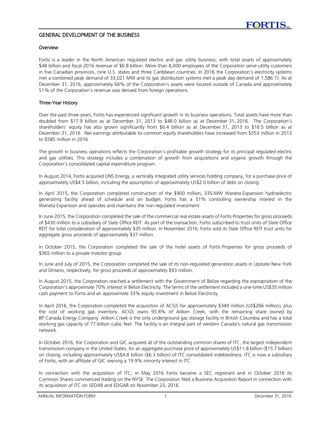

# GENERAL DEVELOPMENT OF THE BUSINESS

#### Overview

Fortis is a leader in the North American regulated electric and gas utility business, with total assets of approximately \$48 billion and fiscal 2016 revenue of \$6.8 billion. More than 8,000 employees of the Corporation serve utility customers in five Canadian provinces, nine U.S. states and three Caribbean countries. In 2016 the Corporation's electricity systems met a combined peak demand of 33,021 MW and its gas distribution systems met a peak day demand of 1,586 TJ. As at December 31, 2016, approximately 66% of the Corporation's assets were located outside of Canada and approximately 51% of the Corporation's revenue was derived from foreign operations.

# Three-Year History

Over the past three years, Fortis has experienced significant growth in its business operations. Total assets have more than doubled from \$17.9 billion as at December 31, 2013 to \$48.0 billion as at December 31, 2016. The Corporation's shareholders' equity has also grown significantly from \$6.4 billion as at December 31, 2013 to \$16.5 billion as at December 31, 2016. Net earnings attributable to common equity shareholders have increased from \$353 million in 2013 to \$585 million in 2016.

The growth in business operations reflects the Corporation's profitable growth strategy for its principal regulated electric and gas utilities. This strategy includes a combination of growth from acquisitions and organic growth through the Corporation's consolidated capital expenditure program.

In August 2014, Fortis acquired UNS Energy, a vertically integrated utility services holding company, for a purchase price of approximately US\$4.5 billion, including the assumption of approximately US\$2.0 billion of debt on closing.

In April 2015, the Corporation completed construction of the \$900 million, 335-MW Waneta Expansion hydroelectric generating facility ahead of schedule and on budget. Fortis has a 51% controlling ownership interest in the Waneta Expansion and operates and maintains the non-regulated investment.

In June 2015, the Corporation completed the sale of the commercial real estate assets of Fortis Properties for gross proceeds of \$430 million to a subsidiary of Slate Office REIT. As part of the transaction, Fortis subscribed to trust units of Slate Office REIT for total consideration of approximately \$35 million. In November 2016, Fortis sold its Slate Office REIT trust units for aggregate gross proceeds of approximately \$37 million.

In October 2015, the Corporation completed the sale of the hotel assets of Fortis Properties for gross proceeds of \$365 million to a private investor group.

In June and July of 2015, the Corporation completed the sale of its non-regulated generation assets in Upstate New York and Ontario, respectively, for gross proceeds of approximately \$93 million.

In August 2015, the Corporation reached a settlement with the Government of Belize regarding the expropriation of the Corporation's approximate 70% interest in Belize Electricity. The terms of the settlement included a one-time US\$35 million cash payment to Fortis and an approximate 33% equity investment in Belize Electricity.

In April 2016, the Corporation completed the acquisition of ACGS for approximately \$349 million (US\$266 million), plus the cost of working gas inventory. ACGS owns 93.8% of Aitken Creek, with the remaining share owned by BP Canada Energy Company. Aitken Creek is the only underground gas storage facility in British Columbia and has a total working gas capacity of 77 billion cubic feet. The facility is an integral part of western Canada's natural gas transmission network.

In October 2016, the Corporation and GIC acquired all of the outstanding common shares of ITC, the largest independent transmission company in the United States, for an aggregate purchase price of approximately US\$11.8 billion (\$15.7 billion) on closing, including approximately US\$4.8 billion (\$6.3 billion) of ITC consolidated indebtedness. ITC is now a subsidiary of Fortis, with an affiliate of GIC owning a 19.9% minority interest in ITC.

In connection with the acquisition of ITC, in May 2016 Fortis became a SEC registrant and in October 2016 its Common Shares commenced trading on the NYSE. The Corporation filed a Business Acquisition Report in connection with its acquisition of ITC on SEDAR and EDGAR on November 23, 2016.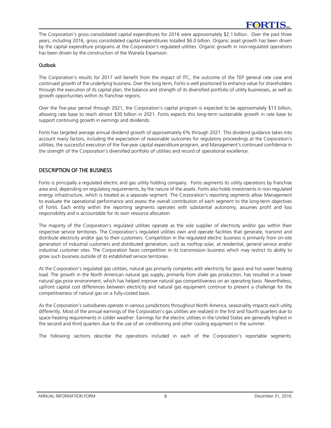The Corporation's gross consolidated capital expenditures for 2016 were approximately \$2.1 billion. Over the past three years, including 2016, gross consolidated capital expenditures totalled \$6.0 billion. Organic asset growth has been driven by the capital expenditure programs at the Corporation's regulated utilities. Organic growth in non-regulated operations has been driven by the construction of the Waneta Expansion.

# **Outlook**

The Corporation's results for 2017 will benefit from the impact of ITC, the outcome of the TEP general rate case and continued growth of the underlying business. Over the long term, Fortis is well positioned to enhance value for shareholders through the execution of its capital plan, the balance and strength of its diversified portfolio of utility businesses, as well as growth opportunities within its franchise regions.

Over the five-year period through 2021, the Corporation's capital program is expected to be approximately \$13 billion, allowing rate base to reach almost \$30 billion in 2021. Fortis expects this long-term sustainable growth in rate base to support continuing growth in earnings and dividends.

Fortis has targeted average annual dividend growth of approximately 6% through 2021. This dividend guidance takes into account many factors, including the expectation of reasonable outcomes for regulatory proceedings at the Corporation's utilities, the successful execution of the five-year capital expenditure program, and Management's continued confidence in the strength of the Corporation's diversified portfolio of utilities and record of operational excellence.

# DESCRIPTION OF THE BUSINESS

Fortis is principally a regulated electric and gas utility holding company. Fortis segments its utility operations by franchise area and, depending on regulatory requirements, by the nature of the assets. Fortis also holds investments in non-regulated energy infrastructure, which is treated as a separate segment. The Corporation's reporting segments allow Management to evaluate the operational performance and assess the overall contribution of each segment to the long-term objectives of Fortis. Each entity within the reporting segments operates with substantial autonomy, assumes profit and loss responsibility and is accountable for its own resource allocation.

The majority of the Corporation's regulated utilities operate as the sole supplier of electricity and/or gas within their respective service territories. The Corporation's regulated utilities own and operate facilities that generate, transmit and distribute electricity and/or gas to their customers. Competition in the regulated electric business is primarily from on-site generation of industrial customers and distributed generation, such as rooftop solar, at residential, general service and/or industrial customer sites. The Corporation faces competition in its transmission business which may restrict its ability to grow such business outside of its established service territories.

At the Corporation's regulated gas utilities, natural gas primarily competes with electricity for space and hot water heating load. The growth in the North American natural gas supply, primarily from shale gas production, has resulted in a lower natural gas price environment, which has helped improve natural gas competitiveness on an operating basis. Nevertheless, upfront capital cost differences between electricity and natural gas equipment continue to present a challenge for the competitiveness of natural gas on a fully-costed basis.

As the Corporation's subsidiaries operate in various jurisdictions throughout North America, seasonality impacts each utility differently. Most of the annual earnings of the Corporation's gas utilities are realized in the first and fourth quarters due to space-heating requirements in colder weather. Earnings for the electric utilities in the United States are generally highest in the second and third quarters due to the use of air conditioning and other cooling equipment in the summer.

The following sections describe the operations included in each of the Corporation's reportable segments.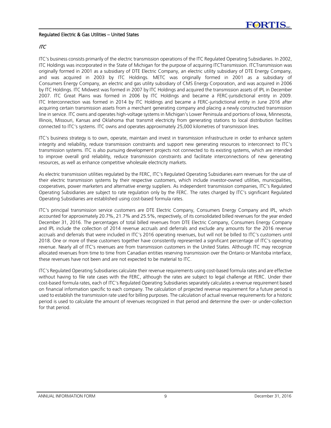#### Regulated Electric & Gas Utilities – United States

# ITC

ITC's business consists primarily of the electric transmission operations of the ITC Regulated Operating Subsidiaries. In 2002, ITC Holdings was incorporated in the State of Michigan for the purpose of acquiring ITCTransmission. ITCTransmission was originally formed in 2001 as a subsidiary of DTE Electric Company, an electric utility subsidiary of DTE Energy Company, and was acquired in 2003 by ITC Holdings. METC was originally formed in 2001 as a subsidiary of Consumers Energy Company, an electric and gas utility subsidiary of CMS Energy Corporation, and was acquired in 2006 by ITC Holdings. ITC Midwest was formed in 2007 by ITC Holdings and acquired the transmission assets of IPL in December 2007. ITC Great Plains was formed in 2006 by ITC Holdings and became a FERC-jurisdictional entity in 2009. ITC Interconnection was formed in 2014 by ITC Holdings and became a FERC-jurisdictional entity in June 2016 after acquiring certain transmission assets from a merchant generating company and placing a newly constructed transmission line in service. ITC owns and operates high-voltage systems in Michigan's Lower Peninsula and portions of Iowa, Minnesota, Illinois, Missouri, Kansas and Oklahoma that transmit electricity from generating stations to local distribution facilities connected to ITC's systems. ITC owns and operates approximately 25,000 kilometres of transmission lines.

ITC's business strategy is to own, operate, maintain and invest in transmission infrastructure in order to enhance system integrity and reliability, reduce transmission constraints and support new generating resources to interconnect to ITC's transmission systems. ITC is also pursuing development projects not connected to its existing systems, which are intended to improve overall grid reliability, reduce transmission constraints and facilitate interconnections of new generating resources, as well as enhance competitive wholesale electricity markets.

As electric transmission utilities regulated by the FERC, ITC's Regulated Operating Subsidiaries earn revenues for the use of their electric transmission systems by their respective customers, which include investor-owned utilities, municipalities, cooperatives, power marketers and alternative energy suppliers. As independent transmission companies, ITC's Regulated Operating Subsidiaries are subject to rate regulation only by the FERC. The rates charged by ITC's significant Regulated Operating Subsidiaries are established using cost-based formula rates.

ITC's principal transmission service customers are DTE Electric Company, Consumers Energy Company and IPL, which accounted for approximately 20.7%, 21.7% and 25.5%, respectively, of its consolidated billed revenues for the year ended December 31, 2016. The percentages of total billed revenues from DTE Electric Company, Consumers Energy Company and IPL include the collection of 2014 revenue accruals and deferrals and exclude any amounts for the 2016 revenue accruals and deferrals that were included in ITC's 2016 operating revenues, but will not be billed to ITC's customers until 2018. One or more of these customers together have consistently represented a significant percentage of ITC's operating revenue. Nearly all of ITC's revenues are from transmission customers in the United States. Although ITC may recognize allocated revenues from time to time from Canadian entities reserving transmission over the Ontario or Manitoba interface, these revenues have not been and are not expected to be material to ITC.

ITC's Regulated Operating Subsidiaries calculate their revenue requirements using cost-based formula rates and are effective without having to file rate cases with the FERC, although the rates are subject to legal challenge at FERC. Under their cost-based formula rates, each of ITC's Regulated Operating Subsidiaries separately calculates a revenue requirement based on financial information specific to each company. The calculation of projected revenue requirement for a future period is used to establish the transmission rate used for billing purposes. The calculation of actual revenue requirements for a historic period is used to calculate the amount of revenues recognized in that period and determine the over- or under-collection for that period.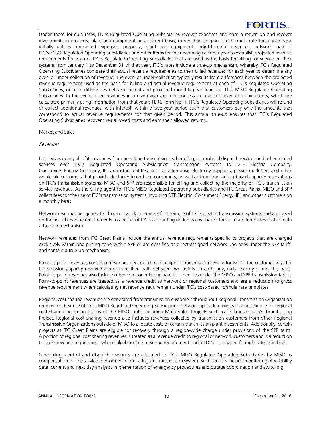Under these formula rates, ITC's Regulated Operating Subsidiaries recover expenses and earn a return on and recover investments in property, plant and equipment on a current basis, rather than lagging. The formula rate for a given year initially utilizes forecasted expenses, property, plant and equipment, point-to-point revenues, network load at ITC's MISO Regulated Operating Subsidiaries and other items for the upcoming calendar year to establish projected revenue requirements for each of ITC's Regulated Operating Subsidiaries that are used as the basis for billing for service on their systems from January 1 to December 31 of that year. ITC's rates include a true-up mechanism, whereby ITC's Regulated Operating Subsidiaries compare their actual revenue requirements to their billed revenues for each year to determine any over- or under-collection of revenue. The over- or under-collection typically results from differences between the projected revenue requirement used as the basis for billing and actual revenue requirement at each of ITC's Regulated Operating Subsidiaries, or from differences between actual and projected monthly peak loads at ITC's MISO Regulated Operating Subsidiaries. In the event billed revenues in a given year are more or less than actual revenue requirements, which are calculated primarily using information from that year's FERC Form No. 1, ITC's Regulated Operating Subsidiaries will refund or collect additional revenues, with interest, within a two-year period such that customers pay only the amounts that correspond to actual revenue requirements for that given period. This annual true-up ensures that ITC's Regulated Operating Subsidiaries recover their allowed costs and earn their allowed returns.

#### Market and Sales

#### Revenues

ITC derives nearly all of its revenues from providing transmission, scheduling, control and dispatch services and other related services over ITC's Regulated Operating Subsidiaries' transmission systems to DTE Electric Company, Consumers Energy Company, IPL and other entities, such as alternative electricity suppliers, power marketers and other wholesale customers that provide electricity to end-use consumers, as well as from transaction-based capacity reservations on ITC's transmission systems. MISO and SPP are responsible for billing and collecting the majority of ITC's transmission service revenues. As the billing agent for ITC's MISO Regulated Operating Subsidiaries and ITC Great Plains, MISO and SPP collect fees for the use of ITC's transmission systems, invoicing DTE Electric, Consumers Energy, IPL and other customers on a monthly basis.

Network revenues are generated from network customers for their use of ITC's electric transmission systems and are based on the actual revenue requirements as a result of ITC's accounting under its cost-based formula rate templates that contain a true-up mechanism.

Network revenues from ITC Great Plains include the annual revenue requirements specific to projects that are charged exclusively within one pricing zone within SPP or are classified as direct assigned network upgrades under the SPP tariff, and contain a true-up mechanism.

Point-to-point revenues consist of revenues generated from a type of transmission service for which the customer pays for transmission capacity reserved along a specified path between two points on an hourly, daily, weekly or monthly basis. Point-to-point revenues also include other components pursuant to schedules under the MISO and SPP transmission tariffs. Point-to-point revenues are treated as a revenue credit to network or regional customers and are a reduction to gross revenue requirement when calculating net revenue requirement under ITC's cost-based formula rate templates.

Regional cost sharing revenues are generated from transmission customers throughout Regional Transmission Organization regions for their use of ITC's MISO Regulated Operating Subsidiaries' network upgrade projects that are eligible for regional cost sharing under provisions of the MISO tariff, including Multi-Value Projects such as ITCTransmission's Thumb Loop Project. Regional cost sharing revenue also includes revenues collected by transmission customers from other Regional Transmission Organizations outside of MISO to allocate costs of certain transmission plant investments. Additionally, certain projects at ITC Great Plains are eligible for recovery through a region-wide charge under provisions of the SPP tariff. A portion of regional cost sharing revenues is treated as a revenue credit to regional or network customers and is a reduction to gross revenue requirement when calculating net revenue requirement under ITC's cost-based formula rate templates.

Scheduling, control and dispatch revenues are allocated to ITC's MISO Regulated Operating Subsidiaries by MISO as compensation for the services performed in operating the transmission system. Such services include monitoring of reliability data, current and next day analysis, implementation of emergency procedures and outage coordination and switching.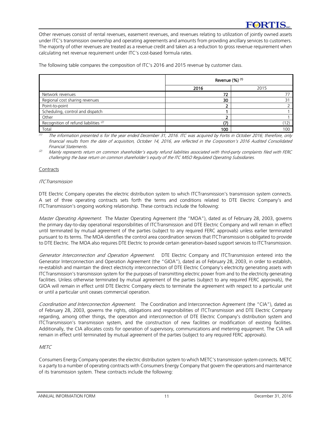Other revenues consist of rental revenues, easement revenues, and revenues relating to utilization of jointly owned assets under ITC's transmission ownership and operating agreements and amounts from providing ancillary services to customers. The majority of other revenues are treated as a revenue credit and taken as a reduction to gross revenue requirement when calculating net revenue requirement under ITC's cost-based formula rates.

The following table compares the composition of ITC's 2016 and 2015 revenue by customer class.

|                                                  | Revenue (%) (1) |      |
|--------------------------------------------------|-----------------|------|
|                                                  | 2016            | 2015 |
| Network revenues                                 | 77              |      |
| Regional cost sharing revenues                   | 30              | 31   |
| Point-to-point                                   |                 |      |
| Scheduling, control and dispatch                 |                 |      |
| Other                                            |                 |      |
| Recognition of refund liabilities <sup>(2)</sup> | /¬'             | (12) |
| Total                                            | 100             | 100  |

 $\overline{10}$  The information presented is for the year ended December 31, 2016. ITC was acquired by Fortis in October 2016; therefore, only financial results from the date of acquisition, October 14, 2016, are reflected in the Corporation's 2016 Audited Consolidated Financial Statements.

(2) Mainly represents return on common shareholder's equity refund liabilities associated with third-party complaints filed with FERC challenging the base return on common shareholder's equity of the ITC MISO Regulated Operating Subsidiaries.

# **Contracts**

#### **ITCTransmission**

DTE Electric Company operates the electric distribution system to which ITCTransmission's transmission system connects. A set of three operating contracts sets forth the terms and conditions related to DTE Electric Company's and ITCTransmission's ongoing working relationship. These contracts include the following:

Master Operating Agreement. The Master Operating Agreement (the "MOA"), dated as of February 28, 2003, governs the primary day-to-day operational responsibilities of ITCTransmission and DTE Electric Company and will remain in effect until terminated by mutual agreement of the parties (subject to any required FERC approvals) unless earlier terminated pursuant to its terms. The MOA identifies the control area coordination services that ITCTransmission is obligated to provide to DTE Electric. The MOA also requires DTE Electric to provide certain generation-based support services to ITCTransmission.

Generator Interconnection and Operation Agreement. DTE Electric Company and ITCTransmission entered into the Generator Interconnection and Operation Agreement (the "GIOA"), dated as of February 28, 2003, in order to establish, re-establish and maintain the direct electricity interconnection of DTE Electric Company's electricity generating assets with ITCTransmission's transmission system for the purposes of transmitting electric power from and to the electricity generating facilities. Unless otherwise terminated by mutual agreement of the parties (subject to any required FERC approvals), the GIOA will remain in effect until DTE Electric Company elects to terminate the agreement with respect to a particular unit or until a particular unit ceases commercial operation.

Coordination and Interconnection Agreement. The Coordination and Interconnection Agreement (the "CIA"), dated as of February 28, 2003, governs the rights, obligations and responsibilities of ITCTransmission and DTE Electric Company regarding, among other things, the operation and interconnection of DTE Electric Company's distribution system and ITCTransmission's transmission system, and the construction of new facilities or modification of existing facilities. Additionally, the CIA allocates costs for operation of supervisory, communications and metering equipment. The CIA will remain in effect until terminated by mutual agreement of the parties (subject to any required FERC approvals).

# **METC**

Consumers Energy Company operates the electric distribution system to which METC's transmission system connects. METC is a party to a number of operating contracts with Consumers Energy Company that govern the operations and maintenance of its transmission system. These contracts include the following: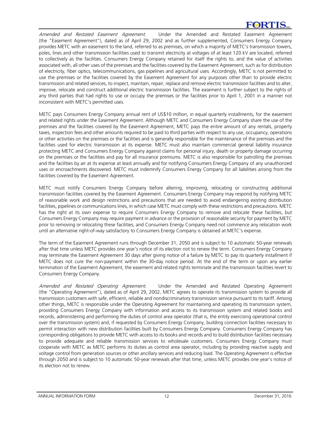Amended and Restated Easement Agreement. Under the Amended and Restated Easement Agreement (the "Easement Agreement"), dated as of April 29, 2002 and as further supplemented, Consumers Energy Company provides METC with an easement to the land, referred to as premises, on which a majority of METC's transmission towers, poles, lines and other transmission facilities used to transmit electricity at voltages of at least 120 kV are located, referred to collectively as the facilities. Consumers Energy Company retained for itself the rights to, and the value of activities associated with, all other uses of the premises and the facilities covered by the Easement Agreement, such as for distribution of electricity, fiber optics, telecommunications, gas pipelines and agricultural uses. Accordingly, METC is not permitted to use the premises or the facilities covered by the Easement Agreement for any purposes other than to provide electric transmission and related services, to inspect, maintain, repair, replace and remove electric transmission facilities and to alter, improve, relocate and construct additional electric transmission facilities. The easement is further subject to the rights of any third parties that had rights to use or occupy the premises or the facilities prior to April 1, 2001 in a manner not inconsistent with METC's permitted uses.

METC pays Consumers Energy Company annual rent of US\$10 million, in equal quarterly installments, for the easement and related rights under the Easement Agreement. Although METC and Consumers Energy Company share the use of the premises and the facilities covered by the Easement Agreement, METC pays the entire amount of any rentals, property taxes, inspection fees and other amounts required to be paid to third parties with respect to any use, occupancy, operations or other activities on the premises or the facilities and is generally responsible for the maintenance of the premises and the facilities used for electric transmission at its expense. METC must also maintain commercial general liability insurance protecting METC and Consumers Energy Company against claims for personal injury, death or property damage occurring on the premises or the facilities and pay for all insurance premiums. METC is also responsible for patrolling the premises and the facilities by air at its expense at least annually and for notifying Consumers Energy Company of any unauthorized uses or encroachments discovered. METC must indemnify Consumers Energy Company for all liabilities arising from the facilities covered by the Easement Agreement.

METC must notify Consumers Energy Company before altering, improving, relocating or constructing additional transmission facilities covered by the Easement Agreement. Consumers Energy Company may respond by notifying METC of reasonable work and design restrictions and precautions that are needed to avoid endangering existing distribution facilities, pipelines or communications lines, in which case METC must comply with these restrictions and precautions. METC has the right at its own expense to require Consumers Energy Company to remove and relocate these facilities, but Consumers Energy Company may require payment in advance or the provision of reasonable security for payment by METC prior to removing or relocating these facilities, and Consumers Energy Company need not commence any relocation work until an alternative right-of-way satisfactory to Consumers Energy Company is obtained at METC's expense.

The term of the Easement Agreement runs through December 31, 2050 and is subject to 10 automatic 50-year renewals after that time unless METC provides one year's notice of its election not to renew the term. Consumers Energy Company may terminate the Easement Agreement 30 days after giving notice of a failure by METC to pay its quarterly installment if METC does not cure the non-payment within the 30-day notice period. At the end of the term or upon any earlier termination of the Easement Agreement, the easement and related rights terminate and the transmission facilities revert to Consumers Energy Company.

Amended and Restated Operating Agreement. Under the Amended and Restated Operating Agreement (the "Operating Agreement"), dated as of April 29, 2002, METC agrees to operate its transmission system to provide all transmission customers with safe, efficient, reliable and nondiscriminatory transmission service pursuant to its tariff. Among other things, METC is responsible under the Operating Agreement for maintaining and operating its transmission system, providing Consumers Energy Company with information and access to its transmission system and related books and records, administering and performing the duties of control area operator (that is, the entity exercising operational control over the transmission system) and, if requested by Consumers Energy Company, building connection facilities necessary to permit interaction with new distribution facilities built by Consumers Energy Company. Consumers Energy Company has corresponding obligations to provide METC with access to its books and records and to build distribution facilities necessary to provide adequate and reliable transmission services to wholesale customers. Consumers Energy Company must cooperate with METC as METC performs its duties as control area operator, including by providing reactive supply and voltage control from generation sources or other ancillary services and reducing load. The Operating Agreement is effective through 2050 and is subject to 10 automatic 50-year renewals after that time, unless METC provides one year's notice of its election not to renew.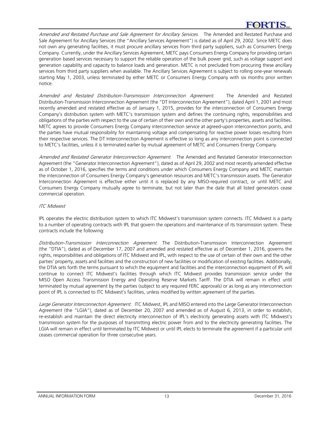Amended and Restated Purchase and Sale Agreement for Ancillary Services. The Amended and Restated Purchase and Sale Agreement for Ancillary Services (the "Ancillary Services Agreement") is dated as of April 29, 2002. Since METC does not own any generating facilities, it must procure ancillary services from third party suppliers, such as Consumers Energy Company. Currently, under the Ancillary Services Agreement, METC pays Consumers Energy Company for providing certain generation based services necessary to support the reliable operation of the bulk power grid, such as voltage support and generation capability and capacity to balance loads and generation. METC is not precluded from procuring these ancillary services from third party suppliers when available. The Ancillary Services Agreement is subject to rolling one-year renewals starting May 1, 2003, unless terminated by either METC or Consumers Energy Company with six months prior written notice.

Amended and Restated Distribution-Transmission Interconnection Agreement. The Amended and Restated Distribution-Transmission Interconnection Agreement (the "DT Interconnection Agreement"), dated April 1, 2001 and most recently amended and restated effective as of January 1, 2015, provides for the interconnection of Consumers Energy Company's distribution system with METC's transmission system and defines the continuing rights, responsibilities and obligations of the parties with respect to the use of certain of their own and the other party's properties, assets and facilities. METC agrees to provide Consumers Energy Company interconnection service at agreed-upon interconnection points, and the parties have mutual responsibility for maintaining voltage and compensating for reactive power losses resulting from their respective services. The DT Interconnection Agreement is effective so long as any interconnection point is connected to METC's facilities, unless it is terminated earlier by mutual agreement of METC and Consumers Energy Company.

Amended and Restated Generator Interconnection Agreement. The Amended and Restated Generator Interconnection Agreement (the "Generator Interconnection Agreement"), dated as of April 29, 2002 and most recently amended effective as of October 1, 2016, specifies the terms and conditions under which Consumers Energy Company and METC maintain the interconnection of Consumers Energy Company's generation resources and METC's transmission assets. The Generator Interconnection Agreement is effective either until it is replaced by any MISO-required contract, or until METC and Consumers Energy Company mutually agree to terminate, but not later than the date that all listed generators cease commercial operation.

# **ITC** Midwest

IPL operates the electric distribution system to which ITC Midwest's transmission system connects. ITC Midwest is a party to a number of operating contracts with IPL that govern the operations and maintenance of its transmission system. These contracts include the following:

Distribution-Transmission Interconnection Agreement. The Distribution-Transmission Interconnection Agreement (the "DTIA"), dated as of December 17, 2007 and amended and restated effective as of December 1, 2016, governs the rights, responsibilities and obligations of ITC Midwest and IPL, with respect to the use of certain of their own and the other parties' property, assets and facilities and the construction of new facilities or modification of existing facilities. Additionally, the DTIA sets forth the terms pursuant to which the equipment and facilities and the interconnection equipment of IPL will continue to connect ITC Midwest's facilities through which ITC Midwest provides transmission service under the MISO Open Access Transmission Energy and Operating Reserve Markets Tariff. The DTIA will remain in effect until terminated by mutual agreement by the parties (subject to any required FERC approvals) or as long as any interconnection point of IPL is connected to ITC Midwest's facilities, unless modified by written agreement of the parties.

Large Generator Interconnection Agreement. ITC Midwest, IPL and MISO entered into the Large Generator Interconnection Agreement (the "LGIA"), dated as of December 20, 2007 and amended as of August 6, 2013, in order to establish, re-establish and maintain the direct electricity interconnection of IPL's electricity generating assets with ITC Midwest's transmission system for the purposes of transmitting electric power from and to the electricity generating facilities. The LGIA will remain in effect until terminated by ITC Midwest or until IPL elects to terminate the agreement if a particular unit ceases commercial operation for three consecutive years.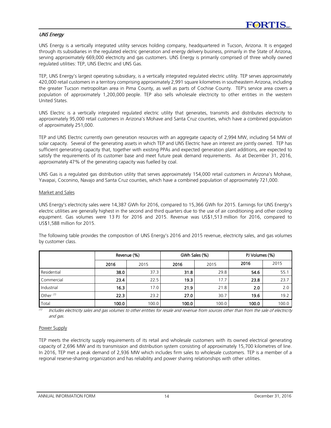# UNS Energy

UNS Energy is a vertically integrated utility services holding company, headquartered in Tucson, Arizona. It is engaged through its subsidiaries in the regulated electric generation and energy delivery business, primarily in the State of Arizona, serving approximately 669,000 electricity and gas customers. UNS Energy is primarily comprised of three wholly owned regulated utilities: TEP, UNS Electric and UNS Gas.

TEP, UNS Energy's largest operating subsidiary, is a vertically integrated regulated electric utility. TEP serves approximately 420,000 retail customers in a territory comprising approximately 2,991 square kilometres in southeastern Arizona, including the greater Tucson metropolitan area in Pima County, as well as parts of Cochise County. TEP's service area covers a population of approximately 1,200,000 people. TEP also sells wholesale electricity to other entities in the western United States.

UNS Electric is a vertically integrated regulated electric utility that generates, transmits and distributes electricity to approximately 95,000 retail customers in Arizona's Mohave and Santa Cruz counties, which have a combined population of approximately 251,000.

TEP and UNS Electric currently own generation resources with an aggregate capacity of 2,994 MW, including 54 MW of solar capacity. Several of the generating assets in which TEP and UNS Electric have an interest are jointly owned. TEP has sufficient generating capacity that, together with existing PPAs and expected generation plant additions, are expected to satisfy the requirements of its customer base and meet future peak demand requirements. As at December 31, 2016, approximately 47% of the generating capacity was fuelled by coal.

UNS Gas is a regulated gas distribution utility that serves approximately 154,000 retail customers in Arizona's Mohave, Yavapai, Coconino, Navajo and Santa Cruz counties, which have a combined population of approximately 721,000.

#### Market and Sales

UNS Energy's electricity sales were 14,387 GWh for 2016, compared to 15,366 GWh for 2015. Earnings for UNS Energy's electric utilities are generally highest in the second and third quarters due to the use of air conditioning and other cooling equipment. Gas volumes were 13 PJ for 2016 and 2015. Revenue was US\$1,513 million for 2016, compared to US\$1,588 million for 2015.

The following table provides the composition of UNS Energy's 2016 and 2015 revenue, electricity sales, and gas volumes by customer class.

|             | Revenue (%) |       |       | GWh Sales (%) | PJ Volumes (%) |       |
|-------------|-------------|-------|-------|---------------|----------------|-------|
|             | 2016        | 2015  | 2016  | 2015          | 2016           | 2015  |
| Residential | 38.0        | 37.3  | 31.8  | 29.8          | 54.6           | 55.1  |
| Commercial  | 23.4        | 22.5  | 19.3  | 17.7          | 23.8           | 23.7  |
| Industrial  | 16.3        | 17.0  | 21.9  | 21.8          | 2.0            | 2.0   |
| Other $(1)$ | 22.3        | 23.2  | 27.0  | 30.7          | 19.6           | 19.2  |
| Total       | 100.0       | 100.0 | 100.0 | 100.0         | 100.0          | 100.0 |

(1) Includes electricity sales and gas volumes to other entities for resale and revenue from sources other than from the sale of electricity and gas.

#### Power Supply

TEP meets the electricity supply requirements of its retail and wholesale customers with its owned electrical generating capacity of 2,696 MW and its transmission and distribution system consisting of approximately 15,700 kilometres of line. In 2016, TEP met a peak demand of 2,936 MW which includes firm sales to wholesale customers. TEP is a member of a regional reserve-sharing organization and has reliability and power sharing relationships with other utilities.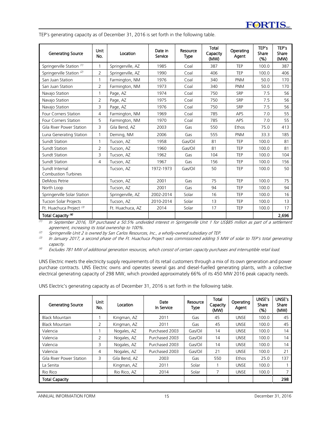TEP's generating capacity as of December 31, 2016 is set forth in the following table.

| Generating Source                            | <b>Unit</b><br>No. | Location          | Date in<br>Service | Resource<br><b>Type</b> | <b>Total</b><br>Capacity<br>(MW) | Operating<br>Agent | TEP's<br>Share<br>(% ) | TEP's<br>Share<br>(MW) |
|----------------------------------------------|--------------------|-------------------|--------------------|-------------------------|----------------------------------|--------------------|------------------------|------------------------|
| Springerville Station (1)                    | $\mathbf{1}$       | Springerville, AZ | 1985               | Coal                    | 387                              | TEP                | 100.0                  | 387                    |
| Springerville Station <sup>(2)</sup>         | 2                  | Springerville, AZ | 1990               | Coal                    | 406                              | <b>TEP</b>         | 100.0                  | 406                    |
| San Juan Station                             | 1                  | Farmington, NM    | 1976               | Coal                    | 340                              | <b>PNM</b>         | 50.0                   | 170                    |
| San Juan Station                             | 2                  | Farmington, NM    | 1973               | Coal                    | 340                              | <b>PNM</b>         | 50.0                   | 170                    |
| Navajo Station                               | 1                  | Page, AZ          | 1974               | Coal                    | 750                              | SRP                | 7.5                    | 56                     |
| Navajo Station                               | $\overline{2}$     | Page, AZ          | 1975               | Coal                    | 750                              | SRP                | 7.5                    | 56                     |
| Navajo Station                               | 3                  | Page, AZ          | 1976               | Coal                    | 750                              | SRP                | 7.5                    | 56                     |
| Four Corners Station                         | 4                  | Farmington, NM    | 1969               | Coal                    | 785                              | APS                | 7.0                    | 55                     |
| <b>Four Corners Station</b>                  | 5                  | Farmington, NM    | 1970               | Coal                    | 785                              | APS                | 7.0                    | 55                     |
| Gila River Power Station                     | 3                  | Gila Bend, AZ     | 2003               | Gas                     | 550                              | Ethos              | 75.0                   | 413                    |
| Luna Generating Station                      | 1                  | Deming, NM        | 2006               | Gas                     | 555                              | <b>PNM</b>         | 33.3                   | 185                    |
| Sundt Station                                | 1                  | Tucson, AZ        | 1958               | Gas/Oil                 | 81                               | <b>TEP</b>         | 100.0                  | 81                     |
| Sundt Station                                | $\overline{2}$     | Tucson, AZ        | 1960               | Gas/Oil                 | 81                               | <b>TEP</b>         | 100.0                  | 81                     |
| Sundt Station                                | 3                  | Tucson, AZ        | 1962               | Gas                     | 104                              | <b>TEP</b>         | 100.0                  | 104                    |
| Sundt Station                                | 4                  | Tucson, AZ        | 1967               | Gas                     | 156                              | <b>TEP</b>         | 100.0                  | 156                    |
| Sundt Internal<br><b>Combustion Turbines</b> |                    | Tucson, AZ        | 1972-1973          | Gas/Oil                 | 50                               | TEP                | 100.0                  | 50                     |
| DeMoss Petrie                                |                    | Tucson, AZ        | 2001               | Gas                     | 75                               | TFP                | 100.0                  | 75                     |
| North Loop                                   |                    | Tucson, AZ        | 2001               | Gas                     | 94                               | <b>TEP</b>         | 100.0                  | 94                     |
| Springerville Solar Station                  |                    | Springerville, AZ | 2002-2014          | Solar                   | 16                               | <b>TFP</b>         | 100.0                  | 16                     |
| Tucson Solar Projects                        |                    | Tucson, AZ        | 2010-2014          | Solar                   | 13                               | <b>TEP</b>         | 100.0                  | 13                     |
| Ft. Huachuca Project <sup>(3)</sup>          |                    | Ft. Huachuca, AZ  | 2014               | Solar                   | 17                               | <b>TEP</b>         | 100.0                  | 17                     |
| Total Capacity <sup>(4)</sup>                |                    |                   |                    |                         |                                  |                    |                        | 2,696                  |

(1) In September 2016, TEP purchased a 50.5% undivided interest in Springerville Unit 1 for US\$85 million as part of a settlement agreement, increasing its total ownership to 100%.

 $\sim$  Springerville Unit 2 is owned by San Carlos Resources, Inc., a wholly-owned subsidiary of TEP.

(3) In January 2017, a second phase of the Ft. Huachuca Project was commissioned adding 5 MW of solar to TEP's total generating capacity.

<sup>(4)</sup> Excludes 781 MW of additional generation resources, which consist of certain capacity purchases and interruptible retail load.

UNS Electric meets the electricity supply requirements of its retail customers through a mix of its own generation and power purchase contracts. UNS Electric owns and operates several gas and diesel-fuelled generating plants, with a collective electrical generating capacity of 298 MW, which provided approximately 66% of its 450 MW 2016 peak capacity needs.

UNS Electric's generating capacity as of December 31, 2016 is set forth in the following table.

| <b>Generating Source</b> | Unit<br>No.   | Location      | Date<br>In Service | Resource<br><b>Type</b> | Total<br>Capacity<br>(MW) | Operating<br>Agent | UNSE's<br>Share<br>(%) | UNSE's<br><b>Share</b><br>(MW) |
|--------------------------|---------------|---------------|--------------------|-------------------------|---------------------------|--------------------|------------------------|--------------------------------|
| <b>Black Mountain</b>    |               | Kingman, AZ   | 2011               | Gas                     | 45                        | <b>UNSF</b>        | 100.0                  | 45                             |
| <b>Black Mountain</b>    | 2             | Kingman, AZ   | 2011               | Gas                     | 45                        | <b>UNSE</b>        | 100.0                  | 45                             |
| Valencia                 |               | Nogales, AZ   | Purchased 2003     | Gas/Oil                 | 14                        | <b>UNSE</b>        | 100.0                  | 14                             |
| Valencia                 | $\mathcal{P}$ | Nogales, AZ   | Purchased 2003     | Gas/Oil                 | 14                        | <b>UNSE</b>        | 100.0                  | 14                             |
| Valencia                 | 3             | Nogales, AZ   | Purchased 2003     | Gas/Oil                 | 14                        | <b>UNSE</b>        | 100.0                  | 14                             |
| Valencia                 | 4             | Nogales, AZ   | Purchased 2003     | Gas/Oil                 | 21                        | <b>UNSE</b>        | 100.0                  | 21                             |
| Gila River Power Station | 3.            | Gila Bend, AZ | 2003               | Gas                     | 550                       | <b>Fthos</b>       | 25.0                   | 137                            |
| La Senita                |               | Kingman, AZ   | 2011               | Solar                   |                           | <b>UNSE</b>        | 100.0                  |                                |
| Rio Rico                 |               | Rio Rico, AZ  | 2014               | Solar                   |                           | <b>UNSE</b>        | 100.0                  | $\overline{ }$                 |
| <b>Total Capacity</b>    |               |               |                    |                         |                           |                    |                        | 298                            |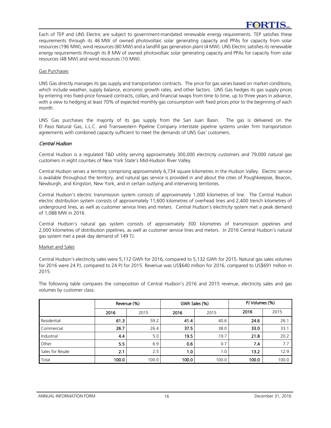Each of TEP and UNS Electric are subject to government-mandated renewable energy requirements. TEP satisfies these requirements through its 46 MW of owned photovoltaic solar generating capacity and PPAs for capacity from solar resources (196 MW), wind resources (80 MW) and a landfill gas generation plant (4 MW). UNS Electric satisfies its renewable energy requirements through its 8 MW of owned photovoltaic solar generating capacity and PPAs for capacity from solar resources (48 MW) and wind resources (10 MW).

#### Gas Purchases

UNS Gas directly manages its gas supply and transportation contracts. The price for gas varies based on market conditions, which include weather, supply balance, economic growth rates, and other factors. UNS Gas hedges its gas supply prices by entering into fixed-price forward contracts, collars, and financial swaps from time to time, up to three years in advance, with a view to hedging at least 70% of expected monthly gas consumption with fixed prices prior to the beginning of each month.

UNS Gas purchases the majority of its gas supply from the San Juan Basin. The gas is delivered on the El Paso Natural Gas, L.L.C. and Transwestern Pipeline Company interstate pipeline systems under firm transportation agreements with combined capacity sufficient to meet the demands of UNS Gas' customers.

#### Central Hudson

Central Hudson is a regulated T&D utility serving approximately 300,000 electricity customers and 79,000 natural gas customers in eight counties of New York State's Mid-Hudson River Valley.

Central Hudson serves a territory comprising approximately 6,734 square kilometres in the Hudson Valley. Electric service is available throughout the territory, and natural gas service is provided in and about the cities of Poughkeepsie, Beacon, Newburgh, and Kingston, New York, and in certain outlying and intervening territories.

Central Hudson's electric transmission system consists of approximately 1,000 kilometres of line. The Central Hudson electric distribution system consists of approximately 11,600 kilometres of overhead lines and 2,400 trench kilometres of underground lines, as well as customer service lines and meters. Central Hudson's electricity system met a peak demand of 1,088 MW in 2016.

Central Hudson's natural gas system consists of approximately 300 kilometres of transmission pipelines and 2,000 kilometres of distribution pipelines, as well as customer service lines and meters. In 2016 Central Hudson's natural gas system met a peak day demand of 149 TJ.

#### Market and Sales

Central Hudson's electricity sales were 5,112 GWh for 2016, compared to 5,132 GWh for 2015. Natural gas sales volumes for 2016 were 24 PJ, compared to 24 PJ for 2015. Revenue was US\$640 million for 2016, compared to US\$691 million in 2015.

The following table compares the composition of Central Hudson's 2016 and 2015 revenue, electricity sales and gas volumes by customer class.

|                  | Revenue (%) |       |                  | GWh Sales (%) | PJ Volumes (%) |       |
|------------------|-------------|-------|------------------|---------------|----------------|-------|
|                  | 2016        | 2015  | 2016             | 2015          | 2016           | 2015  |
| Residential      | 61.3        | 59.2  | 41.4             | 40.6          | 24.6           | 26.1  |
| Commercial       | 26.7        | 26.4  | 37.5             | 38.0          | 33.0           | 33.1  |
| Industrial       | 4.4         | 5.0   | 19.5             | 19.7          | 21.8           | 20.2  |
| Other            | 5.5         | 6.9   | 0.6 <sub>1</sub> | 0.7           | 7.4            | 7.7   |
| Sales for Resale | 2.1         | 2.5   | 1.0              | 1.0           | 13.2           | 12.9  |
| Total            | 100.0       | 100.0 | 100.0            | 100.0         | 100.0          | 100.0 |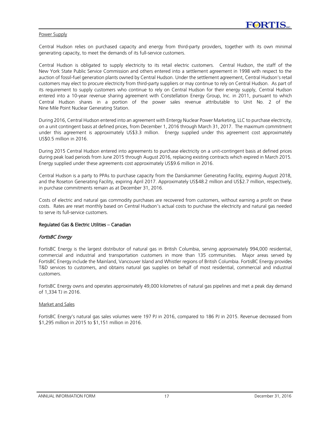#### Power Supply

Central Hudson relies on purchased capacity and energy from third-party providers, together with its own minimal generating capacity, to meet the demands of its full-service customers.

Central Hudson is obligated to supply electricity to its retail electric customers. Central Hudson, the staff of the New York State Public Service Commission and others entered into a settlement agreement in 1998 with respect to the auction of fossil-fuel generation plants owned by Central Hudson. Under the settlement agreement, Central Hudson's retail customers may elect to procure electricity from third-party suppliers or may continue to rely on Central Hudson. As part of its requirement to supply customers who continue to rely on Central Hudson for their energy supply, Central Hudson entered into a 10-year revenue sharing agreement with Constellation Energy Group, Inc. in 2011, pursuant to which Central Hudson shares in a portion of the power sales revenue attributable to Unit No. 2 of the Nine Mile Point Nuclear Generating Station.

During 2016, Central Hudson entered into an agreement with Entergy Nuclear Power Marketing, LLC to purchase electricity, on a unit contingent basis at defined prices, from December 1, 2016 through March 31, 2017. The maximum commitment under this agreement is approximately US\$3.3 million. Energy supplied under this agreement cost approximately US\$0.5 million in 2016.

During 2015 Central Hudson entered into agreements to purchase electricity on a unit-contingent basis at defined prices during peak load periods from June 2015 through August 2016, replacing existing contracts which expired in March 2015. Energy supplied under these agreements cost approximately US\$9.6 million in 2016.

Central Hudson is a party to PPAs to purchase capacity from the Danskammer Generating Facility, expiring August 2018, and the Roseton Generating Facility, expiring April 2017. Approximately US\$48.2 million and US\$2.7 million, respectively, in purchase commitments remain as at December 31, 2016.

Costs of electric and natural gas commodity purchases are recovered from customers, without earning a profit on these costs. Rates are reset monthly based on Central Hudson's actual costs to purchase the electricity and natural gas needed to serve its full-service customers.

#### Regulated Gas & Electric Utilities – Canadian

#### FortisBC Energy

FortisBC Energy is the largest distributor of natural gas in British Columbia, serving approximately 994,000 residential, commercial and industrial and transportation customers in more than 135 communities. Major areas served by FortisBC Energy include the Mainland, Vancouver Island and Whistler regions of British Columbia. FortisBC Energy provides T&D services to customers, and obtains natural gas supplies on behalf of most residential, commercial and industrial customers.

FortisBC Energy owns and operates approximately 49,000 kilometres of natural gas pipelines and met a peak day demand of 1,334 TJ in 2016.

#### Market and Sales

FortisBC Energy's natural gas sales volumes were 197 PJ in 2016, compared to 186 PJ in 2015. Revenue decreased from \$1,295 million in 2015 to \$1,151 million in 2016.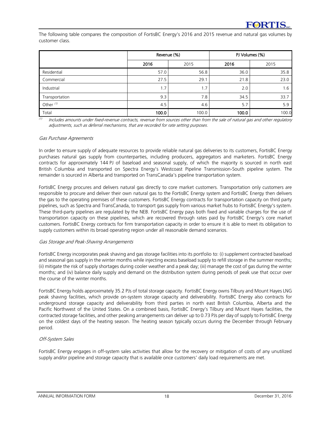The following table compares the composition of FortisBC Energy's 2016 and 2015 revenue and natural gas volumes by customer class.

|                      | Revenue (%) |       | PJ Volumes (%) |       |  |
|----------------------|-------------|-------|----------------|-------|--|
|                      | 2016        | 2015  | 2016           | 2015  |  |
| Residential          | 57.0        | 56.8  | 36.0           | 35.8  |  |
| Commercial           | 27.5        | 29.1  | 21.8           | 23.0  |  |
| Industrial           | 1.7         | 1.7   | 2.0            | 1.6   |  |
| Transportation       | 9.3         | 7.8   | 34.5           | 33.7  |  |
| Other <sup>(1)</sup> | 4.5         | 4.6   | 5.7            | 5.9   |  |
| Total                | 100.0       | 100.0 | 100.0          | 100.0 |  |

 $(1)$ Includes amounts under fixed-revenue contracts, revenue from sources other than from the sale of natural gas and other regulatory adjustments, such as deferral mechanisms, that are recorded for rate setting purposes.

#### Gas Purchase Agreements

In order to ensure supply of adequate resources to provide reliable natural gas deliveries to its customers, FortisBC Energy purchases natural gas supply from counterparties, including producers, aggregators and marketers. FortisBC Energy contracts for approximately 144 PJ of baseload and seasonal supply, of which the majority is sourced in north east British Columbia and transported on Spectra Energy's Westcoast Pipeline Transmission-South pipeline system. The remainder is sourced in Alberta and transported on TransCanada's pipeline transportation system.

FortisBC Energy procures and delivers natural gas directly to core market customers. Transportation only customers are responsible to procure and deliver their own natural gas to the FortisBC Energy system and FortisBC Energy then delivers the gas to the operating premises of these customers. FortisBC Energy contracts for transportation capacity on third party pipelines, such as Spectra and TransCanada, to transport gas supply from various market hubs to FortisBC Energy's system. These third-party pipelines are regulated by the NEB. FortisBC Energy pays both fixed and variable charges for the use of transportation capacity on these pipelines, which are recovered through rates paid by FortisBC Energy's core market customers. FortisBC Energy contracts for firm transportation capacity in order to ensure it is able to meet its obligation to supply customers within its broad operating region under all reasonable demand scenarios.

#### Gas Storage and Peak-Shaving Arrangements

FortisBC Energy incorporates peak shaving and gas storage facilities into its portfolio to: (i) supplement contracted baseload and seasonal gas supply in the winter months while injecting excess baseload supply to refill storage in the summer months; (ii) mitigate the risk of supply shortages during cooler weather and a peak day; (iii) manage the cost of gas during the winter months; and (iv) balance daily supply and demand on the distribution system during periods of peak use that occur over the course of the winter months.

FortisBC Energy holds approximately 35.2 PJs of total storage capacity. FortisBC Energy owns Tilbury and Mount Hayes LNG peak shaving facilities, which provide on-system storage capacity and deliverability. FortisBC Energy also contracts for underground storage capacity and deliverability from third parties in north east British Columbia, Alberta and the Pacific Northwest of the United States. On a combined basis, FortisBC Energy's Tilbury and Mount Hayes facilities, the contracted storage facilities, and other peaking arrangements can deliver up to 0.73 PJs per day of supply to FortisBC Energy on the coldest days of the heating season. The heating season typically occurs during the December through February period.

# Off-System Sales

FortisBC Energy engages in off-system sales activities that allow for the recovery or mitigation of costs of any unutilized supply and/or pipeline and storage capacity that is available once customers' daily load requirements are met.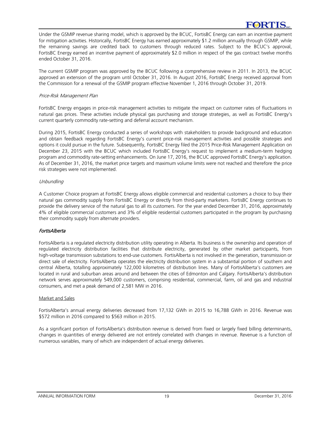Under the GSMIP revenue sharing model, which is approved by the BCUC, FortisBC Energy can earn an incentive payment for mitigation activities. Historically, FortisBC Energy has earned approximately \$1.2 million annually through GSMIP, while the remaining savings are credited back to customers through reduced rates. Subject to the BCUC's approval, FortisBC Energy earned an incentive payment of approximately \$2.0 million in respect of the gas contract twelve months ended October 31, 2016.

The current GSMIP program was approved by the BCUC following a comprehensive review in 2011. In 2013, the BCUC approved an extension of the program until October 31, 2016. In August 2016, FortisBC Energy received approval from the Commission for a renewal of the GSMIP program effective November 1, 2016 through October 31, 2019.

# Price-Risk Management Plan

FortisBC Energy engages in price-risk management activities to mitigate the impact on customer rates of fluctuations in natural gas prices. These activities include physical gas purchasing and storage strategies, as well as FortisBC Energy's current quarterly commodity rate-setting and deferral account mechanism.

During 2015, FortisBC Energy conducted a series of workshops with stakeholders to provide background and education and obtain feedback regarding FortisBC Energy's current price-risk management activities and possible strategies and options it could pursue in the future. Subsequently, FortisBC Energy filed the 2015 Price-Risk Management Application on December 23, 2015 with the BCUC which included FortisBC Energy's request to implement a medium-term hedging program and commodity rate-setting enhancements. On June 17, 2016, the BCUC approved FortisBC Energy's application. As of December 31, 2016, the market price targets and maximum volume limits were not reached and therefore the price risk strategies were not implemented.

# **Unbundling**

A Customer Choice program at FortisBC Energy allows eligible commercial and residential customers a choice to buy their natural gas commodity supply from FortisBC Energy or directly from third-party marketers. FortisBC Energy continues to provide the delivery service of the natural gas to all its customers. For the year ended December 31, 2016, approximately 4% of eligible commercial customers and 3% of eligible residential customers participated in the program by purchasing their commodity supply from alternate providers.

# FortisAlberta

FortisAlberta is a regulated electricity distribution utility operating in Alberta. Its business is the ownership and operation of regulated electricity distribution facilities that distribute electricity, generated by other market participants, from high-voltage transmission substations to end-use customers. FortisAlberta is not involved in the generation, transmission or direct sale of electricity. FortisAlberta operates the electricity distribution system in a substantial portion of southern and central Alberta, totalling approximately 122,000 kilometres of distribution lines. Many of FortisAlberta's customers are located in rural and suburban areas around and between the cities of Edmonton and Calgary. FortisAlberta's distribution network serves approximately 549,000 customers, comprising residential, commercial, farm, oil and gas and industrial consumers, and met a peak demand of 2,581 MW in 2016.

# Market and Sales

FortisAlberta's annual energy deliveries decreased from 17,132 GWh in 2015 to 16,788 GWh in 2016. Revenue was \$572 million in 2016 compared to \$563 million in 2015.

As a significant portion of FortisAlberta's distribution revenue is derived from fixed or largely fixed billing determinants, changes in quantities of energy delivered are not entirely correlated with changes in revenue. Revenue is a function of numerous variables, many of which are independent of actual energy deliveries.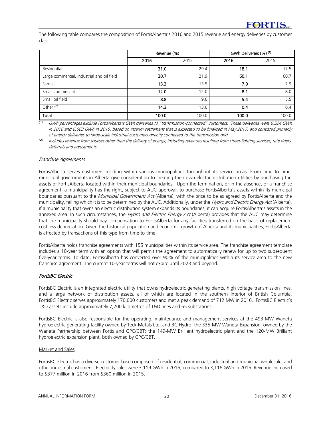The following table compares the composition of FortisAlberta's 2016 and 2015 revenue and energy deliveries by customer class.

|                                            | Revenue (%) |       | GWh Deliveries (%) (1) |       |  |
|--------------------------------------------|-------------|-------|------------------------|-------|--|
|                                            | 2016        | 2015  | 2016                   | 2015  |  |
| Residential                                | 31.0        | 29.4  | 18.1                   | 17.5  |  |
| Large commercial, industrial and oil field | 20.7        | 21.9  | 60.1                   | 60.7  |  |
| Farms                                      | 13.2        | 13.5  | 7.9                    | 7.9   |  |
| Small commercial                           | 12.0        | 12.0  | 8.1                    | 8.0   |  |
| Small oil field                            | 8.8         | 9.6   | 5.4                    | 5.5   |  |
| Other $(2)$                                | 14.3        | 13.6  | 0.4                    | 0.4   |  |
| Total                                      | 100.0       | 100.0 | 100.0                  | 100.0 |  |

*(1)* GWh percentages exclude FortisAlberta's GWh deliveries to "transmission-connected" customers. These deliveries were 6,524 GWh in 2016 and 6,663 GWh in 2015, based on interim settlement that is expected to be finalized in May 2017, and consisted primarily of energy deliveries to large-scale industrial customers directly connected to the transmission grid.

*(2)* Includes revenue from sources other than the delivery of energy, including revenues resulting from street-lighting services, rate riders, deferrals and adjustments.

#### Franchise Agreements

FortisAlberta serves customers residing within various municipalities throughout its service areas. From time to time, municipal governments in Alberta give consideration to creating their own electric distribution utilities by purchasing the assets of FortisAlberta located within their municipal boundaries. Upon the termination, or in the absence, of a franchise agreement, a municipality has the right, subject to AUC approval, to purchase FortisAlberta's assets within its municipal boundaries pursuant to the Municipal Government Act (Alberta), with the price to be as agreed by FortisAlberta and the municipality, failing which it is to be determined by the AUC. Additionally, under the Hydro and Electric Energy Act (Alberta), if a municipality that owns an electric distribution system expands its boundaries, it can acquire FortisAlberta's assets in the annexed area. In such circumstances, the Hydro and Electric Energy Act (Alberta) provides that the AUC may determine that the municipality should pay compensation to FortisAlberta for any facilities transferred on the basis of replacement cost less depreciation. Given the historical population and economic growth of Alberta and its municipalities, FortisAlberta is affected by transactions of this type from time to time.

FortisAlberta holds franchise agreements with 155 municipalities within its service area. The franchise agreement template includes a 10-year term with an option that will permit the agreement to automatically renew for up to two subsequent five-year terms. To date, FortisAlberta has converted over 90% of the municipalities within its service area to the new franchise agreement. The current 10-year terms will not expire until 2023 and beyond.

# FortisBC Electric

FortisBC Electric is an integrated electric utility that owns hydroelectric generating plants, high voltage transmission lines, and a large network of distribution assets, all of which are located in the southern interior of British Columbia. FortisBC Electric serves approximately 170,000 customers and met a peak demand of 712 MW in 2016. FortisBC Electric's T&D assets include approximately 7,200 kilometres of T&D lines and 65 substations.

FortisBC Electric is also responsible for the operating, maintenance and management services at the 493-MW Waneta hydroelectric generating facility owned by Teck Metals Ltd. and BC Hydro; the 335-MW Waneta Expansion, owned by the Waneta Partnership between Fortis and CPC/CBT; the 149-MW Brilliant hydroelectric plant and the 120-MW Brilliant hydroelectric expansion plant, both owned by CPC/CBT.

# Market and Sales

FortisBC Electric has a diverse customer base composed of residential, commercial, industrial and municipal wholesale, and other industrial customers. Electricity sales were 3,119 GWh in 2016, compared to 3,116 GWh in 2015. Revenue increased to \$377 million in 2016 from \$360 million in 2015.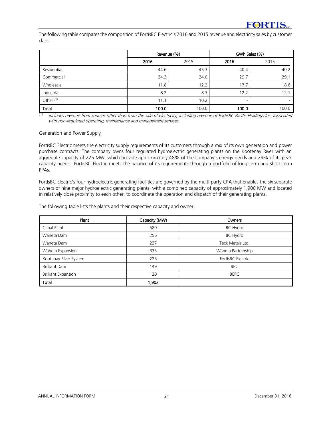The following table compares the composition of FortisBC Electric's 2016 and 2015 revenue and electricity sales by customer class.

|                      | Revenue (%) |       | GWh Sales (%) |       |  |
|----------------------|-------------|-------|---------------|-------|--|
|                      | 2016        | 2015  | 2016          | 2015  |  |
| Residential          | 44.6        | 45.3  | 40.4          | 40.2  |  |
| Commercial           | 24.3        | 24.0  | 29.7          | 29.1  |  |
| Wholesale            | 11.8        | 12.2  | 17.7          | 18.6  |  |
| Industrial           | 8.2         | 8.3   | 12.2          | 12.1  |  |
| Other <sup>(1)</sup> | 11.1        | 10.2  | -             |       |  |
| Total                | 100.0       | 100.0 | 100.0         | 100.0 |  |

 $\overline{u}$  Includes revenue from sources other than from the sale of electricity, including revenue of FortisBC Pacific Holdings Inc. associated with non-regulated operating, maintenance and management services.

#### Generation and Power Supply

FortisBC Electric meets the electricity supply requirements of its customers through a mix of its own generation and power purchase contracts. The company owns four regulated hydroelectric generating plants on the Kootenay River with an aggregate capacity of 225 MW, which provide approximately 48% of the company's energy needs and 29% of its peak capacity needs. FortisBC Electric meets the balance of its requirements through a portfolio of long-term and short-term PPAs.

FortisBC Electric's four hydroelectric generating facilities are governed by the multi-party CPA that enables the six separate owners of nine major hydroelectric generating plants, with a combined capacity of approximately 1,900 MW and located in relatively close proximity to each other, to coordinate the operation and dispatch of their generating plants.

The following table lists the plants and their respective capacity and owner.

| Plant                      | Capacity (MW) | Owners             |
|----------------------------|---------------|--------------------|
| Canal Plant                | 580           | BC Hydro           |
| Waneta Dam                 | 256           | BC Hydro           |
| Waneta Dam                 | 237           | Teck Metals Ltd.   |
| Waneta Expansion           | 335           | Waneta Partnership |
| Kootenay River System      | 225           | FortisBC Electric  |
| <b>Brilliant Dam</b>       | 149           | <b>BPC</b>         |
| <b>Brilliant Expansion</b> | 120           | <b>BEPC</b>        |
| Total                      | 1,902         |                    |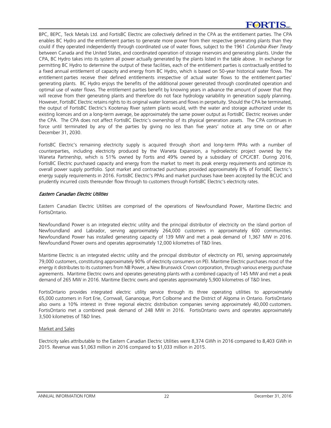# **FORTIS**

BPC, BEPC, Teck Metals Ltd. and FortisBC Electric are collectively defined in the CPA as the entitlement parties. The CPA enables BC Hydro and the entitlement parties to generate more power from their respective generating plants than they could if they operated independently through coordinated use of water flows, subject to the 1961 Columbia River Treaty between Canada and the United States, and coordinated operation of storage reservoirs and generating plants. Under the CPA, BC Hydro takes into its system all power actually generated by the plants listed in the table above. In exchange for permitting BC Hydro to determine the output of these facilities, each of the entitlement parties is contractually entitled to a fixed annual entitlement of capacity and energy from BC Hydro, which is based on 50-year historical water flows. The entitlement parties receive their defined entitlements irrespective of actual water flows to the entitlement parties' generating plants. BC Hydro enjoys the benefits of the additional power generated through coordinated operation and optimal use of water flows. The entitlement parties benefit by knowing years in advance the amount of power that they will receive from their generating plants and therefore do not face hydrology variability in generation supply planning. However, FortisBC Electric retains rights to its original water licenses and flows in perpetuity. Should the CPA be terminated, the output of FortisBC Electric's Kootenay River system plants would, with the water and storage authorized under its existing licences and on a long-term average, be approximately the same power output as FortisBC Electric receives under the CPA. The CPA does not affect FortisBC Electric's ownership of its physical generation assets. The CPA continues in force until terminated by any of the parties by giving no less than five years' notice at any time on or after December 31, 2030.

FortisBC Electric's remaining electricity supply is acquired through short and long-term PPAs with a number of counterparties, including electricity produced by the Waneta Expansion, a hydroelectric project owned by the Waneta Partnership, which is 51% owned by Fortis and 49% owned by a subsidiary of CPC/CBT. During 2016, FortisBC Electric purchased capacity and energy from the market to meet its peak energy requirements and optimize its overall power supply portfolio. Spot market and contracted purchases provided approximately 8% of FortisBC Electric's energy supply requirements in 2016. FortisBC Electric's PPAs and market purchases have been accepted by the BCUC and prudently incurred costs thereunder flow through to customers through FortisBC Electric's electricity rates.

# Eastern Canadian Electric Utilities

Eastern Canadian Electric Utilities are comprised of the operations of Newfoundland Power, Maritime Electric and FortisOntario.

Newfoundland Power is an integrated electric utility and the principal distributor of electricity on the island portion of Newfoundland and Labrador, serving approximately 264,000 customers in approximately 600 communities. Newfoundland Power has installed generating capacity of 139 MW and met a peak demand of 1,367 MW in 2016. Newfoundland Power owns and operates approximately 12,000 kilometres of T&D lines.

Maritime Electric is an integrated electric utility and the principal distributor of electricity on PEI, serving approximately 79,000 customers, constituting approximately 90% of electricity consumers on PEI. Maritime Electric purchases most of the energy it distributes to its customers from NB Power, a New Brunswick Crown corporation, through various energy purchase agreements. Maritime Electric owns and operates generating plants with a combined capacity of 145 MW and met a peak demand of 265 MW in 2016. Maritime Electric owns and operates approximately 5,900 kilometres of T&D lines.

FortisOntario provides integrated electric utility service through its three operating utilities to approximately 65,000 customers in Fort Erie, Cornwall, Gananoque, Port Colborne and the District of Algoma in Ontario. FortisOntario also owns a 10% interest in three regional electric distribution companies serving approximately 40,000 customers. FortisOntario met a combined peak demand of 248 MW in 2016. FortisOntario owns and operates approximately 3,500 kilometres of T&D lines.

#### Market and Sales

Electricity sales attributable to the Eastern Canadian Electric Utilities were 8,374 GWh in 2016 compared to 8,403 GWh in 2015. Revenue was \$1,063 million in 2016 compared to \$1,033 million in 2015.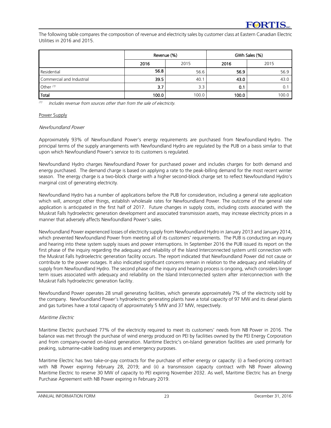The following table compares the composition of revenue and electricity sales by customer class at Eastern Canadian Electric Utilities in 2016 and 2015.

|                           | Revenue (%) |       | GWh Sales (%) |       |  |
|---------------------------|-------------|-------|---------------|-------|--|
|                           | 2016        | 2015  | 2016          | 2015  |  |
| Residential               | 56.8        | 56.6  | 56.9          | 56.9  |  |
| Commercial and Industrial | 39.5        | 40.1  | 43.0          | 43.0  |  |
| Other $(1)$               | 3.7         | 3.3   | 0.1           | 0.1   |  |
| Total                     | 100.0       | 100.0 | 100.0         | 100.0 |  |

(1) Includes revenue from sources other than from the sale of electricity.

#### Power Supply

#### Newfoundland Power

Approximately 93% of Newfoundland Power's energy requirements are purchased from Newfoundland Hydro. The principal terms of the supply arrangements with Newfoundland Hydro are regulated by the PUB on a basis similar to that upon which Newfoundland Power's service to its customers is regulated.

Newfoundland Hydro charges Newfoundland Power for purchased power and includes charges for both demand and energy purchased. The demand charge is based on applying a rate to the peak-billing demand for the most recent winter season. The energy charge is a two-block charge with a higher second-block charge set to reflect Newfoundland Hydro's marginal cost of generating electricity.

Newfoundland Hydro has a number of applications before the PUB for consideration, including a general rate application which will, amongst other things, establish wholesale rates for Newfoundland Power. The outcome of the general rate application is anticipated in the first half of 2017. Future changes in supply costs, including costs associated with the Muskrat Falls hydroelectric generation development and associated transmission assets, may increase electricity prices in a manner that adversely affects Newfoundland Power's sales.

Newfoundland Power experienced losses of electricity supply from Newfoundland Hydro in January 2013 and January 2014, which prevented Newfoundland Power from meeting all of its customers' requirements. The PUB is conducting an inquiry and hearing into these system supply issues and power interruptions. In September 2016 the PUB issued its report on the first phase of the inquiry regarding the adequacy and reliability of the Island Interconnected system until connection with the Muskrat Falls hydroelectric generation facility occurs. The report indicated that Newfoundland Power did not cause or contribute to the power outages. It also indicated significant concerns remain in relation to the adequacy and reliability of supply from Newfoundland Hydro. The second phase of the inquiry and hearing process is ongoing, which considers longer term issues associated with adequacy and reliability on the Island Interconnected system after interconnection with the Muskrat Falls hydroelectric generation facility.

Newfoundland Power operates 28 small generating facilities, which generate approximately 7% of the electricity sold by the company. Newfoundland Power's hydroelectric generating plants have a total capacity of 97 MW and its diesel plants and gas turbines have a total capacity of approximately 5 MW and 37 MW, respectively.

# Maritime Electric

Maritime Electric purchased 77% of the electricity required to meet its customers' needs from NB Power in 2016. The balance was met through the purchase of wind energy produced on PEI by facilities owned by the PEI Energy Corporation and from company-owned on-Island generation. Maritime Electric's on-Island generation facilities are used primarily for peaking, submarine-cable loading issues and emergency purposes.

Maritime Electric has two take-or-pay contracts for the purchase of either energy or capacity: (i) a fixed-pricing contract with NB Power expiring February 28, 2019; and (ii) a transmission capacity contract with NB Power allowing Maritime Electric to reserve 30 MW of capacity to PEI expiring November 2032. As well, Maritime Electric has an Energy Purchase Agreement with NB Power expiring in February 2019.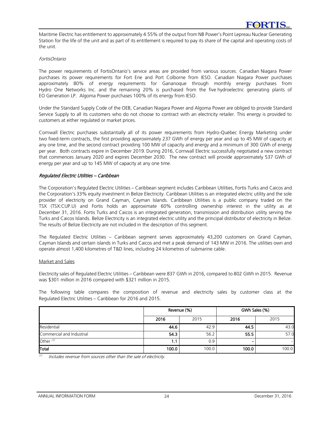Maritime Electric has entitlement to approximately 4.55% of the output from NB Power's Point Lepreau Nuclear Generating Station for the life of the unit and as part of its entitlement is required to pay its share of the capital and operating costs of the unit.

#### FortisOntario

The power requirements of FortisOntario's service areas are provided from various sources. Canadian Niagara Power purchases its power requirements for Fort Erie and Port Colborne from IESO. Canadian Niagara Power purchases approximately 80% of energy requirements for Gananoque through monthly energy purchases from Hydro One Networks Inc. and the remaining 20% is purchased from the five hydroelectric generating plants of EO Generation LP. Algoma Power purchases 100% of its energy from IESO.

Under the Standard Supply Code of the OEB, Canadian Niagara Power and Algoma Power are obliged to provide Standard Service Supply to all its customers who do not choose to contract with an electricity retailer. This energy is provided to customers at either regulated or market prices.

Cornwall Electric purchases substantially all of its power requirements from Hydro-Québec Energy Marketing under two fixed-term contracts, the first providing approximately 237 GWh of energy per year and up to 45 MW of capacity at any one time, and the second contract providing 100 MW of capacity and energy and a minimum of 300 GWh of energy per year. Both contracts expire in December 2019. During 2016, Cornwall Electric successfully negotiated a new contract that commences January 2020 and expires December 2030. The new contract will provide approximately 537 GWh of energy per year and up to 145 MW of capacity at any one time.

# Regulated Electric Utilities – Caribbean

The Corporation's Regulated Electric Utilities – Caribbean segment includes Caribbean Utilities, Fortis Turks and Caicos and the Corporation's 33% equity investment in Belize Electricity. Caribbean Utilities is an integrated electric utility and the sole provider of electricity on Grand Cayman, Cayman Islands. Caribbean Utilities is a public company traded on the TSX (TSX:CUP.U) and Fortis holds an approximate 60% controlling ownership interest in the utility as at December 31, 2016. Fortis Turks and Caicos is an integrated generation, transmission and distribution utility serving the Turks and Caicos Islands. Belize Electricity is an integrated electric utility and the principal distributor of electricity in Belize. The results of Belize Electricity are not included in the description of this segment.

The Regulated Electric Utilities – Caribbean segment serves approximately 43,200 customers on Grand Cayman, Cayman Islands and certain islands in Turks and Caicos and met a peak demand of 143 MW in 2016. The utilities own and operate almost 1,400 kilometres of T&D lines, including 24 kilometres of submarine cable.

# Market and Sales

Electricity sales of Regulated Electric Utilities – Caribbean were 837 GWh in 2016, compared to 802 GWh in 2015. Revenue was \$301 million in 2016 compared with \$321 million in 2015.

The following table compares the composition of revenue and electricity sales by customer class at the Regulated Electric Utilities – Caribbean for 2016 and 2015.

|                           |       | Revenue (%) | GWh Sales (%) |       |  |
|---------------------------|-------|-------------|---------------|-------|--|
|                           | 2016  | 2015        | 2016          | 2015  |  |
| Residential               | 44.6  | 42.9        | 44.5          | 43.0  |  |
| Commercial and Industrial | 54.3  | 56.2        | 55.5          | 57.0  |  |
| Other $(1)$               | . .   | 0.9         |               |       |  |
| Total                     | 100.0 | 100.0       | 100.0         | 100.0 |  |

(1) Includes revenue from sources other than the sale of electricity.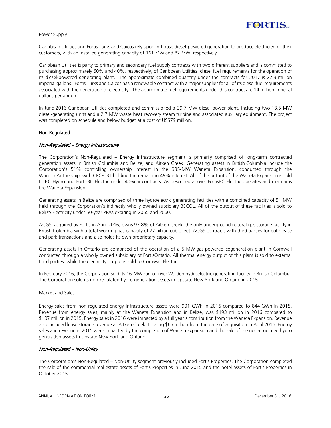#### Power Supply

Caribbean Utilities and Fortis Turks and Caicos rely upon in-house diesel-powered generation to produce electricity for their customers, with an installed generating capacity of 161 MW and 82 MW, respectively.

Caribbean Utilities is party to primary and secondary fuel supply contracts with two different suppliers and is committed to purchasing approximately 60% and 40%, respectively, of Caribbean Utilities' diesel fuel requirements for the operation of its diesel-powered generating plant. The approximate combined quantity under the contracts for 2017 is 22.3 million imperial gallons. Fortis Turks and Caicos has a renewable contract with a major supplier for all of its diesel fuel requirements associated with the generation of electricity. The approximate fuel requirements under this contract are 14 million imperial gallons per annum.

In June 2016 Caribbean Utilities completed and commissioned a 39.7 MW diesel power plant, including two 18.5 MW diesel-generating units and a 2.7 MW waste heat recovery steam turbine and associated auxiliary equipment. The project was completed on schedule and below budget at a cost of US\$79 million.

#### Non-Regulated

#### Non-Regulated – Energy Infrastructure

The Corporation's Non-Regulated – Energy Infrastructure segment is primarily comprised of long-term contracted generation assets in British Columbia and Belize, and Aitken Creek. Generating assets in British Columbia include the Corporation's 51% controlling ownership interest in the 335-MW Waneta Expansion, conducted through the Waneta Partnership, with CPC/CBT holding the remaining 49% interest. All of the output of the Waneta Expansion is sold to BC Hydro and FortisBC Electric under 40-year contracts. As described above, FortisBC Electric operates and maintains the Waneta Expansion.

Generating assets in Belize are comprised of three hydroelectric generating facilities with a combined capacity of 51 MW held through the Corporation's indirectly wholly owned subsidiary BECOL. All of the output of these facilities is sold to Belize Electricity under 50-year PPAs expiring in 2055 and 2060.

ACGS, acquired by Fortis in April 2016, owns 93.8% of Aitken Creek, the only underground natural gas storage facility in British Columbia with a total working gas capacity of 77 billion cubic feet. ACGS contracts with third parties for both lease and park transactions and also holds its own proprietary capacity.

Generating assets in Ontario are comprised of the operation of a 5-MW gas-powered cogeneration plant in Cornwall conducted through a wholly owned subsidiary of FortisOntario. All thermal energy output of this plant is sold to external third parties, while the electricity output is sold to Cornwall Electric.

In February 2016, the Corporation sold its 16-MW run-of-river Walden hydroelectric generating facility in British Columbia. The Corporation sold its non-regulated hydro generation assets in Upstate New York and Ontario in 2015.

# Market and Sales

Energy sales from non-regulated energy infrastructure assets were 901 GWh in 2016 compared to 844 GWh in 2015. Revenue from energy sales, mainly at the Waneta Expansion and in Belize, was \$193 million in 2016 compared to \$107 million in 2015. Energy sales in 2016 were impacted by a full year's contribution from the Waneta Expansion. Revenue also included lease storage revenue at Aitken Creek, totaling \$65 million from the date of acquisition in April 2016. Energy sales and revenue in 2015 were impacted by the completion of Waneta Expansion and the sale of the non-regulated hydro generation assets in Upstate New York and Ontario.

# Non-Regulated – Non-Utility

The Corporation's Non-Regulated – Non-Utility segment previously included Fortis Properties. The Corporation completed the sale of the commercial real estate assets of Fortis Properties in June 2015 and the hotel assets of Fortis Properties in October 2015.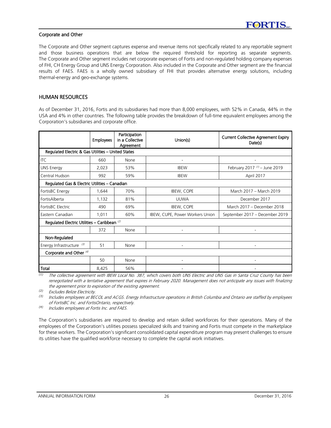#### Corporate and Other

The Corporate and Other segment captures expense and revenue items not specifically related to any reportable segment and those business operations that are below the required threshold for reporting as separate segments. The Corporate and Other segment includes net corporate expenses of Fortis and non-regulated holding company expenses of FHI, CH Energy Group and UNS Energy Corporation. Also included in the Corporate and Other segment are the financial results of FAES. FAES is a wholly owned subsidiary of FHI that provides alternative energy solutions, including thermal-energy and geo-exchange systems.

# HUMAN RESOURCES

As of December 31, 2016, Fortis and its subsidiaries had more than 8,000 employees, with 52% in Canada, 44% in the USA and 4% in other countries. The following table provides the breakdown of full-time equivalent employees among the Corporation's subsidiaries and corporate office.

|                                                         | Participation<br>in a Collective<br><b>Employees</b><br>Agreement |      | Union(s)                        | <b>Current Collective Agreement Expiry</b><br>Date(s) |  |
|---------------------------------------------------------|-------------------------------------------------------------------|------|---------------------------------|-------------------------------------------------------|--|
| Regulated Electric & Gas Utilities - United States      |                                                                   |      |                                 |                                                       |  |
| <b>ITC</b>                                              | 660                                                               | None |                                 |                                                       |  |
| <b>UNS Energy</b>                                       | 2,023                                                             | 53%  | <b>IBFW</b>                     | February 2017 $(1)$ – June 2019                       |  |
| Central Hudson                                          | 992                                                               | 59%  | <b>IBEW</b>                     | April 2017                                            |  |
| Regulated Gas & Electric Utilities - Canadian           |                                                                   |      |                                 |                                                       |  |
| FortisBC Energy                                         | 1,644                                                             | 70%  | <b>IBEW, COPE</b>               | March 2017 - March 2019                               |  |
| FortisAlberta                                           | 1,132                                                             | 81%  | UUWA                            | December 2017                                         |  |
| FortisBC Electric                                       | 490                                                               | 69%  | <b>IBEW, COPE</b>               | March 2017 - December 2018                            |  |
| Eastern Canadian                                        | 1,011                                                             | 60%  | IBEW, CUPE, Power Workers Union | September 2017 - December 2019                        |  |
| Regulated Electric Utilities - Caribbean <sup>(2)</sup> |                                                                   |      |                                 |                                                       |  |
|                                                         | 372                                                               | None |                                 |                                                       |  |
| Non-Regulated                                           |                                                                   |      |                                 |                                                       |  |
| Energy Infrastructure (3)                               | 51                                                                | None | ۰                               |                                                       |  |
| Corporate and Other <sup>(4)</sup>                      |                                                                   |      |                                 |                                                       |  |
|                                                         | 50                                                                | None |                                 |                                                       |  |
| Total                                                   | 8,425                                                             | 56%  |                                 |                                                       |  |

*(1)* The collective agreement with IBEW Local No. 387, which covers both UNS Electric and UNS Gas in Santa Cruz County has been renegotiated with a tentative agreement that expires in February 2020. Management does not anticipate any issues with finalizing the agreement prior to expiration of the existing agreement.

*(2)* Excludes Belize Electricity.

*(3)* Includes employees at BECOL and ACGS. Energy Infrastructure operations in British Columbia and Ontario are staffed by employees of FortisBC Inc. and FortisOntario, respectively.

*(4)* Includes employees at Fortis Inc. and FAES.

The Corporation's subsidiaries are required to develop and retain skilled workforces for their operations. Many of the employees of the Corporation's utilities possess specialized skills and training and Fortis must compete in the marketplace for these workers. The Corporation's significant consolidated capital expenditure program may present challenges to ensure its utilities have the qualified workforce necessary to complete the capital work initiatives.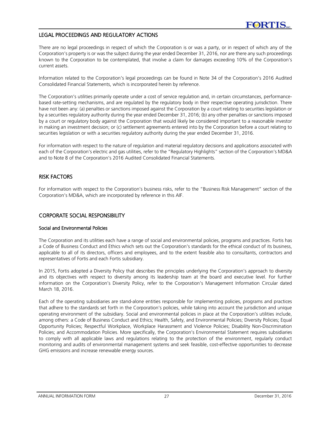# LEGAL PROCEEDINGS AND REGULATORY ACTIONS

There are no legal proceedings in respect of which the Corporation is or was a party, or in respect of which any of the Corporation's property is or was the subject during the year ended December 31, 2016, nor are there any such proceedings known to the Corporation to be contemplated, that involve a claim for damages exceeding 10% of the Corporation's current assets.

Information related to the Corporation's legal proceedings can be found in Note 34 of the Corporation's 2016 Audited Consolidated Financial Statements, which is incorporated herein by reference.

The Corporation's utilities primarily operate under a cost of service regulation and, in certain circumstances, performancebased rate-setting mechanisms, and are regulated by the regulatory body in their respective operating jurisdiction. There have not been any: (a) penalties or sanctions imposed against the Corporation by a court relating to securities legislation or by a securities regulatory authority during the year ended December 31, 2016; (b) any other penalties or sanctions imposed by a court or regulatory body against the Corporation that would likely be considered important to a reasonable investor in making an investment decision; or (c) settlement agreements entered into by the Corporation before a court relating to securities legislation or with a securities regulatory authority during the year ended December 31, 2016.

For information with respect to the nature of regulation and material regulatory decisions and applications associated with each of the Corporation's electric and gas utilities, refer to the "Regulatory Highlights" section of the Corporation's MD&A and to Note 8 of the Corporation's 2016 Audited Consolidated Financial Statements.

# RISK FACTORS

For information with respect to the Corporation's business risks, refer to the "Business Risk Management" section of the Corporation's MD&A, which are incorporated by reference in this AIF.

# CORPORATE SOCIAL RESPONSIBILITY

# Social and Environmental Policies

The Corporation and its utilities each have a range of social and environmental policies, programs and practices. Fortis has a Code of Business Conduct and Ethics which sets out the Corporation's standards for the ethical conduct of its business, applicable to all of its directors, officers and employees, and to the extent feasible also to consultants, contractors and representatives of Fortis and each Fortis subsidiary.

In 2015, Fortis adopted a Diversity Policy that describes the principles underlying the Corporation's approach to diversity and its objectives with respect to diversity among its leadership team at the board and executive level. For further information on the Corporation's Diversity Policy, refer to the Corporation's Management Information Circular dated March 18, 2016.

Each of the operating subsidiaries are stand-alone entities responsible for implementing policies, programs and practices that adhere to the standards set forth in the Corporation's policies, while taking into account the jurisdiction and unique operating environment of the subsidiary. Social and environmental policies in place at the Corporation's utilities include, among others: a Code of Business Conduct and Ethics; Health, Safety, and Environmental Policies; Diversity Policies; Equal Opportunity Policies; Respectful Workplace, Workplace Harassment and Violence Policies; Disability Non-Discrimination Policies; and Accommodation Policies. More specifically, the Corporation's Environmental Statement requires subsidiaries to comply with all applicable laws and regulations relating to the protection of the environment, regularly conduct monitoring and audits of environmental management systems and seek feasible, cost-effective opportunities to decrease GHG emissions and increase renewable energy sources.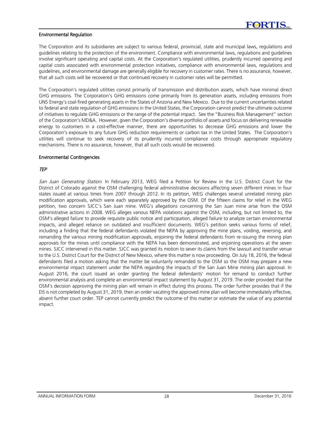#### Environmental Regulation

The Corporation and its subsidiaries are subject to various federal, provincial, state and municipal laws, regulations and guidelines relating to the protection of the environment. Compliance with environmental laws, regulations and guidelines involve significant operating and capital costs. At the Corporation's regulated utilities, prudently incurred operating and capital costs associated with environmental protection initiatives, compliance with environmental laws, regulations and guidelines, and environmental damage are generally eligible for recovery in customer rates. There is no assurance, however, that all such costs will be recovered or that continued recovery in customer rates will be permitted.

The Corporation's regulated utilities consist primarily of transmission and distribution assets, which have minimal direct GHG emissions. The Corporation's GHG emissions come primarily from its generation assets, including emissions from UNS Energy's coal-fired generating assets in the States of Arizona and New Mexico. Due to the current uncertainties related to federal and state regulation of GHG emissions in the United States, the Corporation cannot predict the ultimate outcome of initiatives to regulate GHG emissions or the range of the potential impact. See the "Business Risk Management" section of the Corporation's MD&A. However, given the Corporation's diverse portfolio of assets and focus on delivering renewable energy to customers in a cost-effective manner, there are opportunities to decrease GHG emissions and lower the Corporation's exposure to any future GHG reduction requirements or carbon tax in the United States. The Corporation's utilities will continue to seek recovery of its prudently incurred compliance costs through appropriate regulatory mechanisms. There is no assurance, however, that all such costs would be recovered.

#### Environmental Contingencies

# TEP

San Juan Generating Station. In February 2013, WEG filed a Petition for Review in the U.S. District Court for the District of Colorado against the OSM challenging federal administrative decisions affecting seven different mines in four states issued at various times from 2007 through 2012. In its petition, WEG challenges several unrelated mining plan modification approvals, which were each separately approved by the OSM. Of the fifteen claims for relief in the WEG petition, two concern SJCC's San Juan mine. WEG's allegations concerning the San Juan mine arise from the OSM administrative actions in 2008. WEG alleges various NEPA violations against the OSM, including, but not limited to, the OSM's alleged failure to provide requisite public notice and participation, alleged failure to analyze certain environmental impacts, and alleged reliance on outdated and insufficient documents. WEG's petition seeks various forms of relief, including a finding that the federal defendants violated the NEPA by approving the mine plans, voiding, reversing, and remanding the various mining modification approvals, enjoining the federal defendants from re-issuing the mining plan approvals for the mines until compliance with the NEPA has been demonstrated, and enjoining operations at the seven mines. SJCC intervened in this matter. SJCC was granted its motion to sever its claims from the lawsuit and transfer venue to the U.S. District Court for the District of New Mexico, where this matter is now proceeding. On July 18, 2016, the federal defendants filed a motion asking that the matter be voluntarily remanded to the OSM so the OSM may prepare a new environmental impact statement under the NEPA regarding the impacts of the San Juan Mine mining plan approval. In August 2016, the court issued an order granting the federal defendants' motion for remand to conduct further environmental analysis and complete an environmental impact statement by August 31, 2019. The order provided that the OSM's decision approving the mining plan will remain in effect during this process. The order further provides that if the EIS is not completed by August 31, 2019, then an order vacating the approved mine plan will become immediately effective, absent further court order. TEP cannot currently predict the outcome of this matter or estimate the value of any potential impact.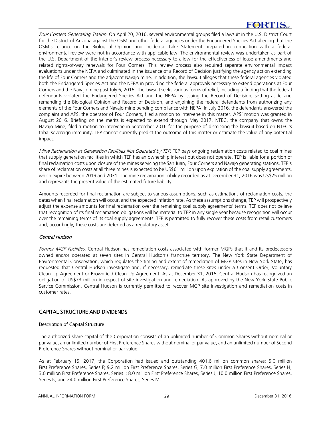Four Corners Generating Station. On April 20, 2016, several environmental groups filed a lawsuit in the U.S. District Court for the District of Arizona against the OSM and other federal agencies under the Endangered Species Act alleging that the OSM's reliance on the Biological Opinion and Incidental Take Statement prepared in connection with a federal environmental review were not in accordance with applicable law. The environmental review was undertaken as part of the U.S. Department of the Interior's review process necessary to allow for the effectiveness of lease amendments and related rights-of-way renewals for Four Corners. This review process also required separate environmental impact evaluations under the NEPA and culminated in the issuance of a Record of Decision justifying the agency action extending the life of Four Corners and the adjacent Navajo mine. In addition, the lawsuit alleges that these federal agencies violated both the Endangered Species Act and the NEPA in providing the federal approvals necessary to extend operations at Four Corners and the Navajo mine past July 6, 2016. The lawsuit seeks various forms of relief, including a finding that the federal defendants violated the Endangered Species Act and the NEPA by issuing the Record of Decision, setting aside and remanding the Biological Opinion and Record of Decision, and enjoining the federal defendants from authorizing any elements of the Four Corners and Navajo mine pending compliance with NEPA. In July 2016, the defendants answered the complaint and APS, the operator of Four Corners, filed a motion to intervene in this matter. APS' motion was granted in August 2016. Briefing on the merits is expected to extend through May 2017. NTEC, the company that owns the Navajo Mine, filed a motion to intervene in September 2016 for the purpose of dismissing the lawsuit based on NTEC's tribal sovereign immunity. TEP cannot currently predict the outcome of this matter or estimate the value of any potential impact.

Mine Reclamation at Generation Facilities Not Operated by TEP. TEP pays ongoing reclamation costs related to coal mines that supply generation facilities in which TEP has an ownership interest but does not operate. TEP is liable for a portion of final reclamation costs upon closure of the mines servicing the San Juan, Four Corners and Navajo generating stations. TEP's share of reclamation costs at all three mines is expected to be US\$61 million upon expiration of the coal supply agreements, which expire between 2019 and 2031. The mine reclamation liability recorded as at December 31, 2016 was US\$25 million and represents the present value of the estimated future liability.

Amounts recorded for final reclamation are subject to various assumptions, such as estimations of reclamation costs, the dates when final reclamation will occur, and the expected inflation rate. As these assumptions change, TEP will prospectively adjust the expense amounts for final reclamation over the remaining coal supply agreements' terms. TEP does not believe that recognition of its final reclamation obligations will be material to TEP in any single year because recognition will occur over the remaining terms of its coal supply agreements. TEP is permitted to fully recover these costs from retail customers and, accordingly, these costs are deferred as a regulatory asset.

# Central Hudson

Former MGP Facilities. Central Hudson has remediation costs associated with former MGPs that it and its predecessors owned and/or operated at seven sites in Central Hudson's franchise territory. The New York State Department of Environmental Conservation, which regulates the timing and extent of remediation of MGP sites in New York State, has requested that Central Hudson investigate and, if necessary, remediate these sites under a Consent Order, Voluntary Clean-Up Agreement or Brownfield Clean-Up Agreement. As at December 31, 2016, Central Hudson has recognized an obligation of US\$73 million in respect of site investigation and remediation. As approved by the New York State Public Service Commission, Central Hudson is currently permitted to recover MGP site investigation and remediation costs in customer rates.

# CAPITAL STRUCTURE AND DIVIDENDS

# Description of Capital Structure

The authorized share capital of the Corporation consists of an unlimited number of Common Shares without nominal or par value, an unlimited number of First Preference Shares without nominal or par value, and an unlimited number of Second Preference Shares without nominal or par value.

As at February 15, 2017, the Corporation had issued and outstanding 401.6 million common shares; 5.0 million First Preference Shares, Series F; 9.2 million First Preference Shares, Series G; 7.0 million First Preference Shares, Series H; 3.0 million First Preference Shares, Series I; 8.0 million First Preference Shares, Series J; 10.0 million First Preference Shares, Series K; and 24.0 million First Preference Shares, Series M.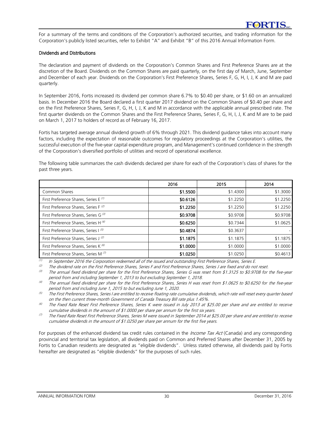For a summary of the terms and conditions of the Corporation's authorized securities, and trading information for the Corporation's publicly listed securities, refer to Exhibit "A" and Exhibit "B" of this 2016 Annual Information Form.

#### Dividends and Distributions

The declaration and payment of dividends on the Corporation's Common Shares and First Preference Shares are at the discretion of the Board. Dividends on the Common Shares are paid quarterly, on the first day of March, June, September and December of each year. Dividends on the Corporation's First Preference Shares, Series F, G, H, I, J, K and M are paid quarterly.

In September 2016, Fortis increased its dividend per common share 6.7% to \$0.40 per share, or \$1.60 on an annualized basis. In December 2016 the Board declared a first quarter 2017 dividend on the Common Shares of \$0.40 per share and on the First Preference Shares, Series F, G, H, I, J, K and M in accordance with the applicable annual prescribed rate. The first quarter dividends on the Common Shares and the First Preference Shares, Series F, G, H, I, J, K and M are to be paid on March 1, 2017 to holders of record as of February 16, 2017.

Fortis has targeted average annual dividend growth of 6% through 2021. This dividend guidance takes into account many factors, including the expectation of reasonable outcomes for regulatory proceedings at the Corporation's utilities, the successful execution of the five-year capital expenditure program, and Management's continued confidence in the strength of the Corporation's diversified portfolio of utilities and record of operational excellence.

The following table summarizes the cash dividends declared per share for each of the Corporation's class of shares for the past three years.

|                                                  | 2016     | 2015     | 2014     |
|--------------------------------------------------|----------|----------|----------|
| Common Shares                                    | \$1.5500 | \$1.4300 | \$1.3000 |
| First Preference Shares, Series E <sup>(1)</sup> | \$0.6126 | \$1.2250 | \$1.2250 |
| First Preference Shares, Series F <sup>(2)</sup> | \$1.2250 | \$1.2250 | \$1.2250 |
| First Preference Shares, Series G (3)            | \$0.9708 | \$0.9708 | \$0.9708 |
| First Preference Shares, Series H <sup>(4)</sup> | \$0.6250 | \$0.7344 | \$1.0625 |
| First Preference Shares, Series I <sup>(5)</sup> | \$0.4874 | \$0.3637 |          |
| First Preference Shares, Series J <sup>(2)</sup> | \$1.1875 | \$1.1875 | \$1.1875 |
| First Preference Shares, Series K <sup>(6)</sup> | \$1.0000 | \$1,0000 | \$1.0000 |
| First Preference Shares, Series M <sup>(7)</sup> | \$1.0250 | \$1.0250 | \$0.4613 |

 $(1)$ In September 2016 the Corporation redeemed all of the issued and outstanding First Preference Shares, Series E.

(2) The dividend rate on the First Preference Shares, Series F and First Preference Shares, Series J are fixed and do not reset.<br>(3) The appual fixed dividend per share for the First Preference Shares, Series G was reset

The annual fixed dividend per share for the First Preference Shares, Series G was reset from \$1.3125 to \$0.9708 for the five-year period from and including September 1, 2013 to but excluding September 1, 2018.

(4) The annual fixed dividend per share for the First Preference Shares, Series H was reset from \$1.0625 to \$0.6250 for the five-year period from and including June 1, 2015 to but excluding June 1, 2020.

 $^{(5)}$  The First Preference Shares, Series I are entitled to receive floating rate cumulative dividends, which rate will reset every quarter based on the then current three-month Government of Canada Treasury Bill rate plus 1.45%.

The Fixed Rate Reset First Preference Shares, Series K were issued in July 2013 at \$25.00 per share and are entitled to receive cumulative dividends in the amount of \$1.0000 per share per annum for the first six years.

 $\degree$  The Fixed Rate Reset First Preference Shares, Series M were issued in September 2014 at \$25.00 per share and are entitled to receive cumulative dividends in the amount of \$1.0250 per share per annum for the first five years.

For purposes of the enhanced dividend tax credit rules contained in the *Income Tax Act* (Canada) and any corresponding provincial and territorial tax legislation, all dividends paid on Common and Preferred Shares after December 31, 2005 by Fortis to Canadian residents are designated as "eligible dividends". Unless stated otherwise, all dividends paid by Fortis hereafter are designated as "eligible dividends" for the purposes of such rules.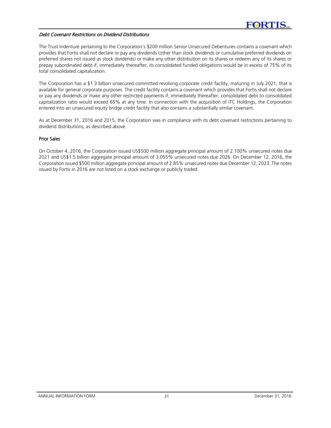# Debt Covenant Restrictions on Dividend Distributions

The Trust Indenture pertaining to the Corporation's \$200 million Senior Unsecured Debentures contains a covenant which provides that Fortis shall not declare or pay any dividends (other than stock dividends or cumulative preferred dividends on preferred shares not issued as stock dividends) or make any other distribution on its shares or redeem any of its shares or prepay subordinated debt if, immediately thereafter, its consolidated funded obligations would be in excess of 75% of its total consolidated capitalization.

The Corporation has a \$1.3 billion unsecured committed revolving corporate credit facility, maturing in July 2021, that is available for general corporate purposes. The credit facility contains a covenant which provides that Fortis shall not declare or pay any dividends or make any other restricted payments if, immediately thereafter, consolidated debt to consolidated capitalization ratio would exceed 65% at any time. In connection with the acquisition of ITC Holdings, the Corporation entered into an unsecured equity bridge credit facility that also contains a substantially similar covenant.

As at December 31, 2016 and 2015, the Corporation was in compliance with its debt covenant restrictions pertaining to dividend distributions, as described above.

#### Prior Sales

On October 4, 2016, the Corporation issued US\$500 million aggregate principal amount of 2.100% unsecured notes due 2021 and US\$1.5 billion aggregate principal amount of 3.055% unsecured notes due 2026. On December 12, 2016, the Corporation issued \$500 million aggregate principal amount of 2.85% unsecured notes due December 12, 2023. The notes issued by Fortis in 2016 are not listed on a stock exchange or publicly traded.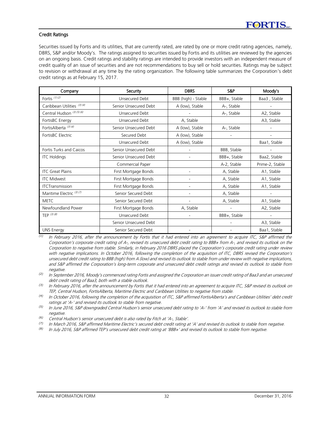#### Credit Ratings

Securities issued by Fortis and its utilities, that are currently rated, are rated by one or more credit rating agencies, namely, DBRS, S&P and/or Moody's. The ratings assigned to securities issued by Fortis and its utilities are reviewed by the agencies on an ongoing basis. Credit ratings and stability ratings are intended to provide investors with an independent measure of credit quality of an issue of securities and are not recommendations to buy sell or hold securities. Ratings may be subject to revision or withdrawal at any time by the rating organization. The following table summarizes the Corporation's debt credit ratings as at February 15, 2017.

| Company                         | Security              |                          | S&P          | Moody's         |
|---------------------------------|-----------------------|--------------------------|--------------|-----------------|
| Fortis (1)(2)                   | Unsecured Debt        |                          | BBB+, Stable | Baa3, Stable    |
| Caribbean Utilities (3)(4)      | Senior Unsecured Debt | A (low), Stable          | A-, Stable   |                 |
| Central Hudson (3) (5) (6)      | Unsecured Debt        |                          | A-, Stable   | A2, Stable      |
| FortisBC Energy                 | Unsecured Debt        | A, Stable                |              | A3, Stable      |
| FortisAlberta <sup>(3)(4)</sup> | Senior Unsecured Debt | A (low), Stable          | A-, Stable   |                 |
| FortisBC Electric               | Secured Debt          | A (low), Stable          |              |                 |
|                                 | Unsecured Debt        | A (low), Stable          |              | Baa1, Stable    |
| Fortis Turks and Caicos         | Senior Unsecured Debt |                          | BBB, Stable  |                 |
| <b>ITC Holdings</b>             | Senior Unsecured Debt |                          | BBB+, Stable | Baa2, Stable    |
|                                 | Commercial Paper      |                          | A-2, Stable  | Prime-2, Stable |
| <b>ITC</b> Great Plains         | First Mortgage Bonds  |                          | A, Stable    | A1, Stable      |
| <b>ITC Midwest</b>              | First Mortgage Bonds  |                          | A, Stable    | A1, Stable      |
| <b>ITCTransmission</b>          | First Mortgage Bonds  |                          | A, Stable    | A1, Stable      |
| Maritime Electric (3)(7)        | Senior Secured Debt   | $\overline{a}$           | A, Stable    |                 |
| <b>MFTC</b>                     | Senior Secured Debt   | $\overline{\phantom{a}}$ | A, Stable    | A1, Stable      |
| Newfoundland Power              | First Mortgage Bonds  | A, Stable                |              | A2, Stable      |
| TEP $(3)(8)$                    | Unsecured Debt        |                          | BBB+, Stable |                 |
|                                 | Senior Unsecured Debt |                          |              | A3, Stable      |
| <b>UNS Energy</b>               | Senior Secured Debt   |                          |              | Baa1, Stable    |

 $\overline{u}$  In February 2016, after the announcement by Fortis that it had entered into an agreement to acquire ITC, S&P affirmed the Corporation's corporate credit rating of A-, revised its unsecured debt credit rating to BBB+ from A-, and revised its outlook on the Corporation to negative from stable. Similarly, in February 2016 DBRS placed the Corporation's corporate credit rating under review with negative implications. In October 2016, following the completion of the acquisition of ITC, DBRS revised the Corporation's unsecured debt credit rating to BBB (high) from A (low) and revised its outlook to stable from under review with negative implications, and S&P affirmed the Corporation's long-term corporate and unsecured debt credit ratings and revised its outlook to stable from negative

*(2)* In September 2016, Moody's commenced rating Fortis and assigned the Corporation an issuer credit rating of Baa3 and an unsecured debt credit rating of Baa3, both with a stable outlook.

*(3)* In February 2016, after the announcement by Fortis that it had entered into an agreement to acquire ITC, S&P revised its outlook on TEP, Central Hudson, FortisAlberta, Maritime Electric and Caribbean Utilities to negative from stable.

*(4)* In October 2016, following the completion of the acquisition of ITC, S&P affirmed FortisAlberta's and Caribbean Utilities' debt credit ratings at 'A-' and revised its outlook to stable from negative.

*(5)* In June 2016, S&P downgraded Central Hudson's senior unsecured debt rating to 'A-' from 'A' and revised its outlook to stable from negative.

- *(6)* Central Hudson's senior unsecured debt is also rated by Fitch at 'A-, Stable'.
- *(7)* In March 2016, S&P affirmed Maritime Electric's secured debt credit rating at 'A' and revised its outlook to stable from negative.

*(8)* In July 2016, S&P affirmed TEP's unsecured debt credit rating at 'BBB+' and revised its outlook to stable from negative.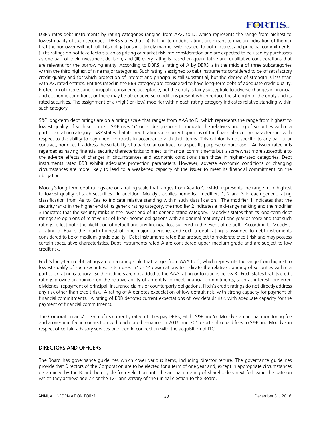# **FORTIS**

DBRS rates debt instruments by rating categories ranging from AAA to D, which represents the range from highest to lowest quality of such securities. DBRS states that: (i) its long-term debt ratings are meant to give an indication of the risk that the borrower will not fulfill its obligations in a timely manner with respect to both interest and principal commitments; (ii) its ratings do not take factors such as pricing or market risk into consideration and are expected to be used by purchasers as one part of their investment decision; and (iii) every rating is based on quantitative and qualitative considerations that are relevant for the borrowing entity. According to DBRS, a rating of A by DBRS is in the middle of three subcategories within the third highest of nine major categories. Such rating is assigned to debt instruments considered to be of satisfactory credit quality and for which protection of interest and principal is still substantial, but the degree of strength is less than with AA rated entities. Entities rated in the BBB category are considered to have long-term debt of adequate credit quality. Protection of interest and principal is considered acceptable, but the entity is fairly susceptible to adverse changes in financial and economic conditions, or there may be other adverse conditions present which reduce the strength of the entity and its rated securities. The assignment of a (high) or (low) modifier within each rating category indicates relative standing within such category.

S&P long-term debt ratings are on a ratings scale that ranges from AAA to D, which represents the range from highest to lowest quality of such securities. S&P uses '+' or '-' designations to indicate the relative standing of securities within a particular rating category. S&P states that its credit ratings are current opinions of the financial security characteristics with respect to the ability to pay under contracts in accordance with their terms. This opinion is not specific to any particular contract, nor does it address the suitability of a particular contract for a specific purpose or purchaser. An issuer rated A is regarded as having financial security characteristics to meet its financial commitments but is somewhat more susceptible to the adverse effects of changes in circumstances and economic conditions than those in higher-rated categories. Debt instruments rated BBB exhibit adequate protection parameters. However, adverse economic conditions or changing circumstances are more likely to lead to a weakened capacity of the issuer to meet its financial commitment on the obligation.

Moody's long-term debt ratings are on a rating scale that ranges from Aaa to C, which represents the range from highest to lowest quality of such securities. In addition, Moody's applies numerical modifiers 1, 2 and 3 in each generic rating classification from Aa to Caa to indicate relative standing within such classification. The modifier 1 indicates that the security ranks in the higher end of its generic rating category, the modifier 2 indicates a mid-range ranking and the modifier 3 indicates that the security ranks in the lower end of its generic rating category. Moody's states that its long-term debt ratings are opinions of relative risk of fixed-income obligations with an original maturity of one year or more and that such ratings reflect both the likelihood of default and any financial loss suffered in the event of default. According to Moody's, a rating of Baa is the fourth highest of nine major categories and such a debt rating is assigned to debt instruments considered to be of medium-grade quality. Debt instruments rated Baa are subject to moderate credit risk and may possess certain speculative characteristics. Debt instruments rated A are considered upper-medium grade and are subject to low credit risk.

Fitch's long-term debt ratings are on a rating scale that ranges from AAA to C, which represents the range from highest to lowest qualify of such securities. Fitch uses '+' or '-' designations to indicate the relative standing of securities within a particular rating category. Such modifiers are not added to the AAA rating or to ratings below B. Fitch states that its credit ratings provide an opinion on the relative ability of an entity to meet financial commitments, such as interest, preferred dividends, repayment of principal, insurance claims or counterparty obligations. Fitch's credit ratings do not directly address any risk other than credit risk. A rating of A denotes expectation of low default risk, with strong capacity for payment of financial commitments. A rating of BBB denotes current expectations of low default risk, with adequate capacity for the payment of financial commitments.

The Corporation and/or each of its currently rated utilities pay DBRS, Fitch, S&P and/or Moody's an annual monitoring fee and a one-time fee in connection with each rated issuance. In 2016 and 2015 Fortis also paid fees to S&P and Moody's in respect of certain advisory services provided in connection with the acquisition of ITC.

# DIRECTORS AND OFFICERS

The Board has governance guidelines which cover various items, including director tenure. The governance guidelines provide that Directors of the Corporation are to be elected for a term of one year and, except in appropriate circumstances determined by the Board, be eligible for re-election until the annual meeting of shareholders next following the date on which they achieve age 72 or the  $12<sup>th</sup>$  anniversary of their initial election to the Board.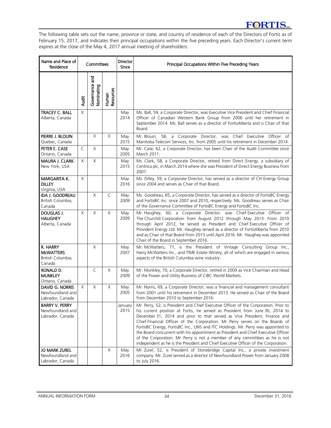# **FORTIS**

The following table sets out the name, province or state, and country of residence of each of the Directors of Fortis as of February 15, 2017, and indicates their principal occupations within the five preceding years. Each Director's current term expires at the close of the May 4, 2017 annual meeting of shareholders.

| Name and Place of<br>Residence                                 | Committees   |                                         |                    | <b>Director</b><br><b>Since</b> | Principal Occupations Within Five Preceding Years                                                                                                                                                                                                                                                                                                                                                                                                                                                                                                                                                                                                                                  |  |  |
|----------------------------------------------------------------|--------------|-----------------------------------------|--------------------|---------------------------------|------------------------------------------------------------------------------------------------------------------------------------------------------------------------------------------------------------------------------------------------------------------------------------------------------------------------------------------------------------------------------------------------------------------------------------------------------------------------------------------------------------------------------------------------------------------------------------------------------------------------------------------------------------------------------------|--|--|
|                                                                | <b>Audit</b> | nd<br>and<br>Governance a<br>Nominating | Human<br>Resources |                                 |                                                                                                                                                                                                                                                                                                                                                                                                                                                                                                                                                                                                                                                                                    |  |  |
| TRACEY C. BALL<br>Alberta, Canada                              | X            |                                         |                    | May<br>2014                     | Ms. Ball, 59, a Corporate Director, was Executive Vice President and Chief Financial<br>Officer of Canadian Western Bank Group from 2006 until her retirement in<br>September 2014. Ms. Ball serves as a director of FortisAlberta and is Chair of that<br>Board.                                                                                                                                                                                                                                                                                                                                                                                                                  |  |  |
| PIERRE J. BLOUIN<br>Quebec, Canada                             |              | X                                       | Χ                  | May<br>2015                     | Mr. Blouin, 58, a Corporate Director, was Chief Executive Officer of<br>Manitoba Telecom Services, Inc. from 2005 until his retirement in December 2014.                                                                                                                                                                                                                                                                                                                                                                                                                                                                                                                           |  |  |
| PETER E. CASE<br>Ontario, Canada                               | C            | X                                       |                    | May<br>2005                     | Mr. Case, 62, a Corporate Director, has been Chair of the Audit Committee since<br>March 2011.                                                                                                                                                                                                                                                                                                                                                                                                                                                                                                                                                                                     |  |  |
| <b>MAURA J. CLARK</b><br>New York, USA                         | X            | $\times$                                |                    | May<br>2015                     | Ms. Clark, 58, a Corporate Director, retired from Direct Energy, a subsidiary of<br>Centrica plc, in March 2014 where she was President of Direct Energy Business from<br>2007.                                                                                                                                                                                                                                                                                                                                                                                                                                                                                                    |  |  |
| <b>MARGARITA K.</b><br><b>DILLEY</b><br>Virginia, USA          | X            |                                         |                    | May<br>2016                     | Ms. Dilley, 59, a Corporate Director, has served as a director of CH Energy Group<br>since 2004 and serves as Chair of that Board.                                                                                                                                                                                                                                                                                                                                                                                                                                                                                                                                                 |  |  |
| <b>IDA J. GOODREAU</b><br>British Columbia,<br>Canada          |              | X                                       | C                  | May<br>2009                     | Ms. Goodreau, 65, a Corporate Director, has served as a director of FortisBC Energy<br>and FortisBC Inc. since 2007 and 2010, respectively. Ms. Goodreau serves as Chair<br>of the Governance Committee of FortisBC Energy and FortisBC Inc.                                                                                                                                                                                                                                                                                                                                                                                                                                       |  |  |
| DOUGLAS J.<br><b>HAUGHEY</b><br>Alberta, Canada                | X            | X                                       | X                  | May<br>2009                     | Mr. Haughey, 60, a Corporate Director, was Chief Executive Officer of<br>The Churchill Corporation from August 2012 through May 2013. From 2010<br>through April 2012, he served as President and Chief Executive Officer of<br>Provident Energy Ltd. Mr. Haughey served as a director of FortisAlberta from 2010<br>and as Chair of that Board from 2013 until April 2016. Mr. Haughey was appointed<br>Chair of the Board in September 2016.                                                                                                                                                                                                                                     |  |  |
| R. HARRY<br><b>MCWATTERS</b><br>British Columbia,<br>Canada    |              | X                                       |                    | May<br>2007                     | Mr. McWatters, 71, is the President of Vintage Consulting Group Inc.,<br>Harry McWatters Inc., and TIME Estate Winery, all of which are engaged in various<br>aspects of the British Columbia wine industry.                                                                                                                                                                                                                                                                                                                                                                                                                                                                       |  |  |
| RONALD D.<br><b>MUNKLEY</b><br>Ontario, Canada                 |              | C                                       | X                  | May<br>2009                     | Mr. Munkley, 70, a Corporate Director, retired in 2009 as Vice Chairman and Head<br>of the Power and Utility Business of CIBC World Markets.                                                                                                                                                                                                                                                                                                                                                                                                                                                                                                                                       |  |  |
| <b>DAVID G. NORRIS</b><br>Newfoundland and<br>Labrador, Canada | $\times$     | $\times$                                | X                  | May<br>2005                     | Mr. Norris, 69, a Corporate Director, was a financial and management consultant<br>from 2001 until his retirement in December 2013. He served as Chair of the Board<br>from December 2010 to September 2016.                                                                                                                                                                                                                                                                                                                                                                                                                                                                       |  |  |
| <b>BARRY V. PERRY</b><br>Newfoundland and<br>Labrador, Canada  |              |                                         | X                  | January<br>2015                 | Mr. Perry, 52, is President and Chief Executive Officer of the Corporation. Prior to<br>his current position at Fortis, he served as President from June 30, 2014 to<br>December 31, 2014 and prior to that served as Vice President, Finance and<br>Chief Financial Officer of the Corporation. Mr. Perry serves on the Boards of<br>FortisBC Energy, FortisBC Inc., UNS and ITC Holdings. Mr. Perry was appointed to<br>the Board concurrent with his appointment as President and Chief Executive Officer<br>of the Corporation. Mr. Perry is not a member of any committees as he is not<br>independent as he is the President and Chief Executive Officer of the Corporation. |  |  |
| <b>JO MARK ZUREL</b><br>Newfoundland and<br>Labrador, Canada   |              |                                         |                    | May<br>2016                     | Mr. Zurel, 52, is President of Stonebridge Capital Inc., a private investment<br>company. Mr. Zurel served as a director of Newfoundland Power from January 2008<br>to July 2016.                                                                                                                                                                                                                                                                                                                                                                                                                                                                                                  |  |  |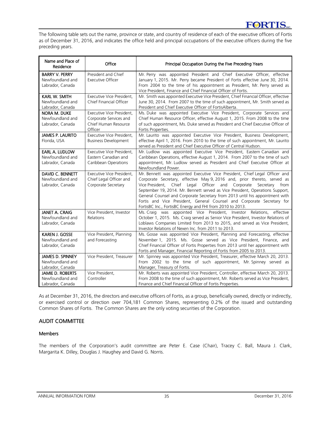The following table sets out the name, province or state, and country of residence of each of the executive officers of Fortis as of December 31, 2016, and indicates the office held and principal occupations of the executive officers during the five preceding years.

| Name and Place of<br>Residence                                  | Office                                                                                 | Principal Occupation During the Five Preceding Years                                                                                                                                                                                                                                                                                                                                                                                                                                                                                |
|-----------------------------------------------------------------|----------------------------------------------------------------------------------------|-------------------------------------------------------------------------------------------------------------------------------------------------------------------------------------------------------------------------------------------------------------------------------------------------------------------------------------------------------------------------------------------------------------------------------------------------------------------------------------------------------------------------------------|
| <b>BARRY V. PERRY</b><br>Newfoundland and<br>Labrador, Canada   | President and Chief<br><b>Executive Officer</b>                                        | Mr. Perry was appointed President and Chief Executive Officer, effective<br>January 1, 2015. Mr. Perry became President of Fortis effective June 30, 2014.<br>From 2004 to the time of his appointment as President, Mr. Perry served as                                                                                                                                                                                                                                                                                            |
| <b>KARL W. SMITH</b><br>Newfoundland and<br>Labrador, Canada    | Executive Vice President,<br>Chief Financial Officer                                   | Vice President, Finance and Chief Financial Officer of Fortis.<br>Mr. Smith was appointed Executive Vice President, Chief Financial Officer, effective<br>June 30, 2014. From 2007 to the time of such appointment, Mr. Smith served as<br>President and Chief Executive Officer of FortisAlberta.                                                                                                                                                                                                                                  |
| <b>NORA M. DUKE</b><br>Newfoundland and<br>Labrador, Canada     | Executive Vice President,<br>Corporate Services and<br>Chief Human Resource<br>Officer | Ms. Duke was appointed Executive Vice President, Corporate Services and<br>Chief Human Resource Officer, effective August 1, 2015. From 2008 to the time<br>of such appointment, Ms. Duke served as President and Chief Executive Officer of<br>Fortis Properties.                                                                                                                                                                                                                                                                  |
| <b>JAMES P. LAURITO</b><br>Florida, USA                         | Executive Vice President,<br><b>Business Development</b>                               | Mr. Laurito was appointed Executive Vice President, Business Development,<br>effective April 1, 2016. From 2010 to the time of such appointment, Mr. Laurito<br>served as President and Chief Executive Officer of Central Hudson.                                                                                                                                                                                                                                                                                                  |
| EARL A. LUDLOW<br>Newfoundland and<br>Labrador, Canada          | Executive Vice President,<br>Eastern Canadian and<br>Caribbean Operations              | Mr. Ludlow was appointed Executive Vice President, Eastern Canadian and<br>Caribbean Operations, effective August 1, 2014. From 2007 to the time of such<br>appointment, Mr. Ludlow served as President and Chief Executive Officer at<br>Newfoundland Power.                                                                                                                                                                                                                                                                       |
| DAVID C. BENNETT<br>Newfoundland and<br>Labrador, Canada        | Executive Vice President.<br>Chief Legal Officer and<br>Corporate Secretary            | Mr. Bennett was appointed Executive Vice President, Chief Legal Officer and<br>Corporate Secretary, effective May 9, 2016 and, prior thereto, served as<br>Vice President, Chief Legal Officer and Corporate Secretary from<br>September 19, 2014. Mr. Bennett served as Vice President, Operations Support,<br>General Counsel and Corporate Secretary from 2013 until his appointment with<br>Fortis and Vice President, General Counsel and Corporate Secretary for<br>FortisBC Inc., FortisBC Energy and FHI from 2010 to 2013. |
| <b>JANET A. CRAIG</b><br>Newfoundland and<br>Labrador, Canada   | Vice President, Investor<br>Relations                                                  | Ms. Craig was appointed Vice President, Investor Relations, effective<br>October 1, 2015. Ms. Craig served as Senior Vice President, Investor Relations of<br>Loblaws Companies Limited from 2013 to 2015, and served as Vice President,<br>Investor Relations of Nexen Inc. from 2011 to 2013.                                                                                                                                                                                                                                     |
| <b>KAREN J. GOSSE</b><br>Newfoundland and<br>Labrador, Canada   | Vice President, Planning<br>and Forecasting                                            | Ms. Gosse was appointed Vice President, Planning and Forecasting, effective<br>November 1, 2015. Ms. Gosse served as Vice President, Finance, and<br>Chief Financial Officer of Fortis Properties from 2013 until her appointment with<br>Fortis and Manager, Financial Reporting of Fortis from 2005 to 2013.                                                                                                                                                                                                                      |
| <b>JAMES D. SPINNEY</b><br>Newfoundland and<br>Labrador, Canada | Vice President, Treasurer                                                              | Mr. Spinney was appointed Vice President, Treasurer, effective March 20, 2013.<br>From 2002 to the time of such appointment, Mr. Spinney served as<br>Manager, Treasury of Fortis.                                                                                                                                                                                                                                                                                                                                                  |
| <b>JAMIE D. ROBERTS</b><br>Newfoundland and<br>Labrador, Canada | Vice President,<br>Controller                                                          | Mr. Roberts was appointed Vice President, Controller, effective March 20, 2013.<br>From 2008 to the time of such appointment, Mr. Roberts served as Vice President,<br>Finance and Chief Financial Officer of Fortis Properties.                                                                                                                                                                                                                                                                                                    |

As at December 31, 2016, the directors and executive officers of Fortis, as a group, beneficially owned, directly or indirectly, or exercised control or direction over 704,181 Common Shares, representing 0.2% of the issued and outstanding Common Shares of Fortis. The Common Shares are the only voting securities of the Corporation.

# AUDIT COMMITTEE

# Members

The members of the Corporation's audit committee are Peter E. Case (Chair), Tracey C. Ball, Maura J. Clark, Margarita K. Dilley, Douglas J. Haughey and David G. Norris.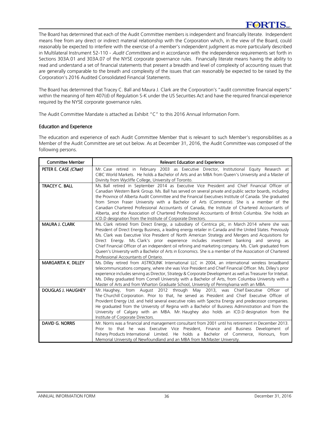The Board has determined that each of the Audit Committee members is independent and financially literate. Independent means free from any direct or indirect material relationship with the Corporation which, in the view of the Board, could reasonably be expected to interfere with the exercise of a member's independent judgment as more particularly described in Multilateral Instrument 52-110 - Audit Committees and in accordance with the independence requirements set forth in Sections 303A.01 and 303A.07 of the NYSE corporate governance rules. Financially literate means having the ability to read and understand a set of financial statements that present a breadth and level of complexity of accounting issues that are generally comparable to the breath and complexity of the issues that can reasonably be expected to be raised by the Corporation's 2016 Audited Consolidated Financial Statements.

The Board has determined that Tracey C. Ball and Maura J. Clark are the Corporation's "audit committee financial experts" within the meaning of Item 407(d) of Regulation S-K under the US Securities Act and have the required financial experience required by the NYSE corporate governance rules.

The Audit Committee Mandate is attached as Exhibit "C" to this 2016 Annual Information Form.

# Education and Experience

The education and experience of each Audit Committee Member that is relevant to such Member's responsibilities as a Member of the Audit Committee are set out below. As at December 31, 2016, the Audit Committee was composed of the following persons.

| <b>Committee Member</b>    | Relevant Education and Experience                                                                                                                                                                                                                                                                                                                                                                                                                                                                                                                                                                                                                                                          |
|----------------------------|--------------------------------------------------------------------------------------------------------------------------------------------------------------------------------------------------------------------------------------------------------------------------------------------------------------------------------------------------------------------------------------------------------------------------------------------------------------------------------------------------------------------------------------------------------------------------------------------------------------------------------------------------------------------------------------------|
| PETER E. CASE (Chair)      | Mr. Case retired in February 2003 as Executive Director, Institutional Equity Research at<br>CIBC World Markets. He holds a Bachelor of Arts and an MBA from Queen's University and a Master of<br>Divinity from Wycliffe College, University of Toronto.                                                                                                                                                                                                                                                                                                                                                                                                                                  |
| <b>TRACEY C. BALL</b>      | Ms. Ball retired in September 2014 as Executive Vice President and Chief Financial Officer of<br>Canadian Western Bank Group. Ms. Ball has served on several private and public sector boards, including<br>the Province of Alberta Audit Committee and the Financial Executives Institute of Canada. She graduated<br>from Simon Fraser University with a Bachelor of Arts (Commerce). She is a member of the<br>Canadian Chartered Professional Accountants of Canada, the Institute of Chartered Accountants of<br>Alberta, and the Association of Chartered Professional Accountants of British Columbia. She holds an<br>ICD.D designation from the Institute of Corporate Directors. |
| <b>MAURA J. CLARK</b>      | Ms. Clark retired from Direct Energy, a subsidiary of Centrica plc, in March 2014 where she was<br>President of Direct Energy Business, a leading energy retailer in Canada and the United States. Previously<br>Ms. Clark was Executive Vice President of North American Strategy and Mergers and Acquisitions for<br>Direct Energy. Ms. Clark's prior experience includes investment banking and serving as<br>Chief Financial Officer of an independent oil refining and marketing company. Ms. Clark graduated from<br>Queen's University with a Bachelor of Arts in Economics. She is a member of the Association of Chartered<br>Professional Accountants of Ontario.                |
| <b>MARGARITA K. DILLEY</b> | Ms. Dilley retired from ASTROLINK International LLC in 2004, an international wireless broadband<br>telecommunications company, where she was Vice President and Chief Financial Officer. Ms. Dilley's prior<br>experience includes serving as Director, Strategy & Corporate Development as well as Treasurer for Intelsat.<br>Ms. Dilley graduated from Cornell University with a Bachelor of Arts, from Columbia University with a<br>Master of Arts and from Wharton Graduate School, University of Pennsylvania with an MBA.                                                                                                                                                          |
| <b>DOUGLAS J. HAUGHEY</b>  | Mr. Haughey, from August 2012 through May 2013, was Chief Executive<br>Officer of<br>The Churchill Corporation. Prior to that, he served as President and Chief Executive Officer of<br>Provident Energy Ltd. and held several executive roles with Spectra Energy and predecessor companies.<br>He graduated from the University of Regina with a Bachelor of Business Administration and from the<br>University of Calgary with an MBA. Mr. Haughey also holds an ICD.D designation from the<br>Institute of Corporate Directors.                                                                                                                                                        |
| <b>DAVID G. NORRIS</b>     | Mr. Norris was a financial and management consultant from 2001 until his retirement in December 2013.<br>Prior to that he was Executive Vice President, Finance and Business Development of<br>Fishery Products International Limited. He holds a Bachelor of Commerce, Honours, from<br>Memorial University of Newfoundland and an MBA from McMaster University.                                                                                                                                                                                                                                                                                                                          |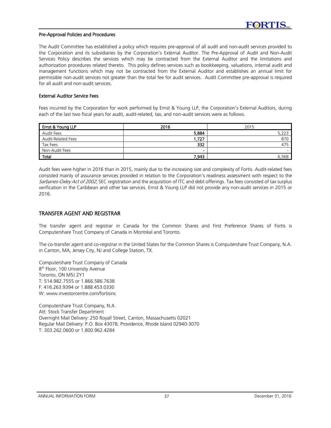#### Pre-Approval Policies and Procedures

The Audit Committee has established a policy which requires pre-approval of all audit and non-audit services provided to the Corporation and its subsidiaries by the Corporation's External Auditor. The Pre-Approval of Audit and Non-Audit Services Policy describes the services which may be contracted from the External Auditor and the limitations and authorization procedures related thereto. This policy defines services such as bookkeeping, valuations, internal audit and management functions which may not be contracted from the External Auditor and establishes an annual limit for permissible non-audit services not greater than the total fee for audit services. Audit Committee pre-approval is required for all audit and non-audit services.

#### External Auditor Service Fees

Fees incurred by the Corporation for work performed by Ernst & Young LLP, the Corporation's External Auditors, during each of the last two fiscal years for audit, audit-related, tax, and non-audit services were as follows.

| Ernst & Young LLP  | 2016   | 2015  |
|--------------------|--------|-------|
| Audit Fees         | 5,884  | 5,223 |
| Audit-Related Fees | 1,727  | 870   |
| Tax Fees           | 332    | 475   |
| Non-Audit Fees     | $\sim$ |       |
| Total              | 7,943  | 6,568 |

Audit fees were higher in 2016 than in 2015, mainly due to the increasing size and complexity of Fortis. Audit-related fees consisted mainly of assurance services provided in relation to the Corporation's readiness assessment with respect to the Sarbanes-Oxley Act of 2002, SEC registration and the acquisition of ITC and debt offerings. Tax fees consisted of tax surplus verification in the Caribbean and other tax services. Ernst & Young LLP did not provide any non-audit services in 2015 or 2016.

# TRANSFER AGENT AND REGISTRAR

The transfer agent and registrar in Canada for the Common Shares and First Preference Shares of Fortis is Computershare Trust Company of Canada in Montréal and Toronto.

The co-transfer agent and co-registrar in the United States for the Common Shares is Computershare Trust Company, N.A. in Canton, MA, Jersey City, NJ and College Station, TX.

Computershare Trust Company of Canada 8<sup>th</sup> Floor, 100 University Avenue Toronto, ON M5J 2Y1 T: 514.982.7555 or 1.866.586.7638 F: 416.263.9394 or 1.888.453.0330 W: www.investorcentre.com/fortisinc

Computershare Trust Company, N.A. Att: Stock Transfer Department Overnight Mail Delivery: 250 Royall Street, Canton, Massachusetts 02021 Regular Mail Delivery: P.O. Box 43078, Providence, Rhode Island 02940-3070 T: 303.262.0600 or 1.800.962.4284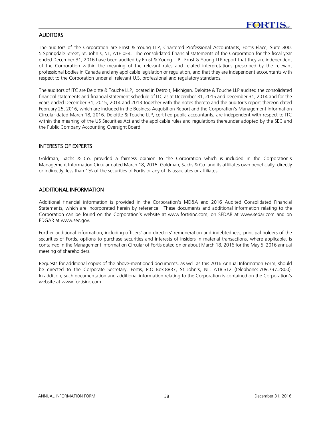# **AUDITORS**

The auditors of the Corporation are Ernst & Young LLP, Chartered Professional Accountants, Fortis Place, Suite 800, 5 Springdale Street, St. John's, NL, A1E 0E4. The consolidated financial statements of the Corporation for the fiscal year ended December 31, 2016 have been audited by Ernst & Young LLP. Ernst & Young LLP report that they are independent of the Corporation within the meaning of the relevant rules and related interpretations prescribed by the relevant professional bodies in Canada and any applicable legislation or regulation, and that they are independent accountants with respect to the Corporation under all relevant U.S. professional and regulatory standards.

The auditors of ITC are Deloitte & Touche LLP, located in Detroit, Michigan. Deloitte & Touche LLP audited the consolidated financial statements and financial statement schedule of ITC as at December 31, 2015 and December 31, 2014 and for the years ended December 31, 2015, 2014 and 2013 together with the notes thereto and the auditor's report thereon dated February 25, 2016, which are included in the Business Acquisition Report and the Corporation's Management Information Circular dated March 18, 2016. Deloitte & Touche LLP, certified public accountants, are independent with respect to ITC within the meaning of the US Securities Act and the applicable rules and regulations thereunder adopted by the SEC and the Public Company Accounting Oversight Board.

# INTERESTS OF EXPERTS

Goldman, Sachs & Co. provided a fairness opinion to the Corporation which is included in the Corporation's Management Information Circular dated March 18, 2016. Goldman, Sachs & Co. and its affiliates own beneficially, directly or indirectly, less than 1% of the securities of Fortis or any of its associates or affiliates.

# ADDITIONAL INFORMATION

Additional financial information is provided in the Corporation's MD&A and 2016 Audited Consolidated Financial Statements, which are incorporated herein by reference. These documents and additional information relating to the Corporation can be found on the Corporation's website at www.fortisinc.com, on SEDAR at www.sedar.com and on EDGAR at www.sec.gov.

Further additional information, including officers' and directors' remuneration and indebtedness, principal holders of the securities of Fortis, options to purchase securities and interests of insiders in material transactions, where applicable, is contained in the Management Information Circular of Fortis dated on or about March 18, 2016 for the May 5, 2016 annual meeting of shareholders.

Requests for additional copies of the above-mentioned documents, as well as this 2016 Annual Information Form, should be directed to the Corporate Secretary, Fortis, P.O. Box 8837, St. John's, NL, A1B 3T2 (telephone: 709.737.2800). In addition, such documentation and additional information relating to the Corporation is contained on the Corporation's website at www.fortisinc.com.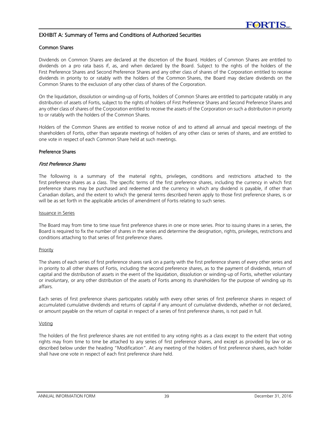#### EXHIBIT A: Summary of Terms and Conditions of Authorized Securities

#### Common Shares

Dividends on Common Shares are declared at the discretion of the Board. Holders of Common Shares are entitled to dividends on a pro rata basis if, as, and when declared by the Board. Subject to the rights of the holders of the First Preference Shares and Second Preference Shares and any other class of shares of the Corporation entitled to receive dividends in priority to or ratably with the holders of the Common Shares, the Board may declare dividends on the Common Shares to the exclusion of any other class of shares of the Corporation.

On the liquidation, dissolution or winding-up of Fortis, holders of Common Shares are entitled to participate ratably in any distribution of assets of Fortis, subject to the rights of holders of First Preference Shares and Second Preference Shares and any other class of shares of the Corporation entitled to receive the assets of the Corporation on such a distribution in priority to or ratably with the holders of the Common Shares.

Holders of the Common Shares are entitled to receive notice of and to attend all annual and special meetings of the shareholders of Fortis, other than separate meetings of holders of any other class or series of shares, and are entitled to one vote in respect of each Common Share held at such meetings.

#### Preference Shares

#### First Preference Shares

The following is a summary of the material rights, privileges, conditions and restrictions attached to the first preference shares as a class. The specific terms of the first preference shares, including the currency in which first preference shares may be purchased and redeemed and the currency in which any dividend is payable, if other than Canadian dollars, and the extent to which the general terms described herein apply to those first preference shares, is or will be as set forth in the applicable articles of amendment of Fortis relating to such series.

#### Issuance in Series

The Board may from time to time issue first preference shares in one or more series. Prior to issuing shares in a series, the Board is required to fix the number of shares in the series and determine the designation, rights, privileges, restrictions and conditions attaching to that series of first preference shares.

#### **Priority**

The shares of each series of first preference shares rank on a parity with the first preference shares of every other series and in priority to all other shares of Fortis, including the second preference shares, as to the payment of dividends, return of capital and the distribution of assets in the event of the liquidation, dissolution or winding-up of Fortis, whether voluntary or involuntary, or any other distribution of the assets of Fortis among its shareholders for the purpose of winding up its affairs.

Each series of first preference shares participates ratably with every other series of first preference shares in respect of accumulated cumulative dividends and returns of capital if any amount of cumulative dividends, whether or not declared, or amount payable on the return of capital in respect of a series of first preference shares, is not paid in full.

#### Voting

The holders of the first preference shares are not entitled to any voting rights as a class except to the extent that voting rights may from time to time be attached to any series of first preference shares, and except as provided by law or as described below under the heading "Modification". At any meeting of the holders of first preference shares, each holder shall have one vote in respect of each first preference share held.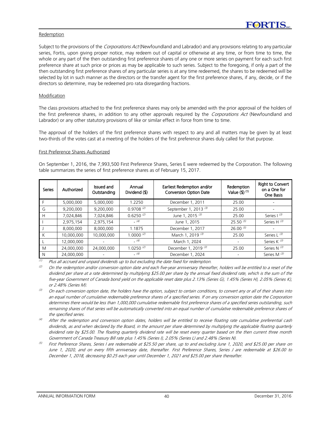#### Redemption

Subject to the provisions of the *Corporations Act* (Newfoundland and Labrador) and any provisions relating to any particular series, Fortis, upon giving proper notice, may redeem out of capital or otherwise at any time, or from time to time, the whole or any part of the then outstanding first preference shares of any one or more series on payment for each such first preference share at such price or prices as may be applicable to such series. Subject to the foregoing, if only a part of the then outstanding first preference shares of any particular series is at any time redeemed, the shares to be redeemed will be selected by lot in such manner as the directors or the transfer agent for the first preference shares, if any, decide, or if the directors so determine, may be redeemed pro rata disregarding fractions.

#### Modification

The class provisions attached to the first preference shares may only be amended with the prior approval of the holders of the first preference shares, in addition to any other approvals required by the Corporations Act (Newfoundland and Labrador) or any other statutory provisions of like or similar effect in force from time to time.

The approval of the holders of the first preference shares with respect to any and all matters may be given by at least two-thirds of the votes cast at a meeting of the holders of the first preference shares duly called for that purpose.

#### First Preference Shares Authorized

On September 1, 2016, the 7,993,500 First Preference Shares, Series E were redeemed by the Corporation. The following table summarizes the series of first preference shares as of February 15, 2017.

| <b>Series</b> | Authorized | Issued and<br>Outstanding | Annual<br>Dividend (\$) | Earliest Redemption and/or<br><b>Conversion Option Date</b> | Redemption<br>Value $($ 1) $(1)$ | <b>Right to Convert</b><br>on a One for<br>One Basis |
|---------------|------------|---------------------------|-------------------------|-------------------------------------------------------------|----------------------------------|------------------------------------------------------|
|               | 5,000,000  | 5,000,000                 | 1.2250                  | December 1, 2011                                            | 25.00                            |                                                      |
| G             | 9,200,000  | 9,200,000                 | $0.9708^{(2)}$          | September 1, 2013 <sup>(3)</sup>                            | 25.00                            |                                                      |
| H             | 7,024,846  | 7,024,846                 | $0.6250^{(2)}$          | June 1, 2015 (3)                                            | 25.00                            | Series   (3)                                         |
|               | 2,975,154  | 2,975,154                 | (4)                     | June 1, 2015                                                | $25.50^{(5)}$                    | Series H <sup>(3)</sup>                              |
|               | 8,000,000  | 8.000.000                 | 1.1875                  | December 1, 2017                                            | $26.00^{(5)}$                    |                                                      |
| К             | 10,000,000 | 10,000,000                | $1.0000^{(2)}$          | March 1, 2019 (3)                                           | 25.00                            | Series $L^{(3)}$                                     |
|               | 12,000,000 |                           | (4)                     | March 1, 2024                                               |                                  | Series K $(3)$                                       |
| M             | 24,000,000 | 24,000,000                | $1.0250$ <sup>(2)</sup> | December 1, 2019 <sup>(3)</sup>                             | 25.00                            | Series N $(3)$                                       |
| N             | 24,000,000 |                           | (4)                     | December 1, 2024                                            |                                  | Series M <sup>(3)</sup>                              |

 $(1)$  Plus all accrued and unpaid dividends up to but excluding the date fixed for redemption.

 $(2)$  On the redemption and/or conversion option date and each five-year anniversary thereafter, holders will be entitled to a reset of the dividend per share at a rate determined by multiplying \$25.00 per share by the annual fixed dividend rate, which is the sum of the five-year Government of Canada bond yield on the applicable reset date plus 2.13% (Series G), 1.45% (Series H), 2.05% (Series K), or 2.48% (Series M).

- $^{(3)}$  On each conversion option date, the holders have the option, subject to certain conditions, to convert any or all of their shares into an equal number of cumulative redeemable preference shares of a specified series. If on any conversion option date the Corporation determines there would be less than 1,000,000 cumulative redeemable first preference shares of a specified series outstanding, such remaining shares of that series will be automatically converted into an equal number of cumulative redeemable preference shares of the specified series.
- After the redemption and conversion option dates, holders will be entitled to receive floating rate cumulative preferential cash dividends, as and when declared by the Board, in the amount per share determined by multiplying the applicable floating quarterly dividend rate by \$25.00. The floating quarterly dividend rate will be reset every quarter based on the then current three month Government of Canada Treasury Bill rate plus 1.45% (Series I), 2.05% (Series L) and 2.48% (Series N).
- (5) First Preference Shares, Series I are redeemable at \$25.50 per share, up to and excluding June 1, 2020, and \$25.00 per share on June 1, 2020, and on every fifth anniversary date, thereafter. First Preference Shares, Series J are redeemable at \$26.00 to December 1, 2018, decreasing \$0.25 each year until December 1, 2021 and \$25.00 per share thereafter.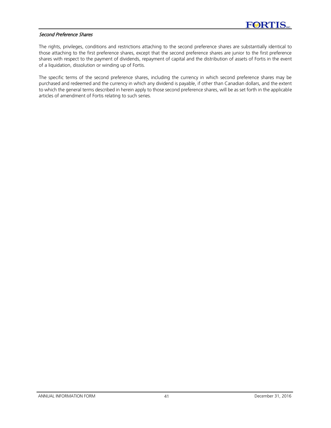#### Second Preference Shares

The rights, privileges, conditions and restrictions attaching to the second preference shares are substantially identical to those attaching to the first preference shares, except that the second preference shares are junior to the first preference shares with respect to the payment of dividends, repayment of capital and the distribution of assets of Fortis in the event of a liquidation, dissolution or winding up of Fortis.

The specific terms of the second preference shares, including the currency in which second preference shares may be purchased and redeemed and the currency in which any dividend is payable, if other than Canadian dollars, and the extent to which the general terms described in herein apply to those second preference shares, will be as set forth in the applicable articles of amendment of Fortis relating to such series.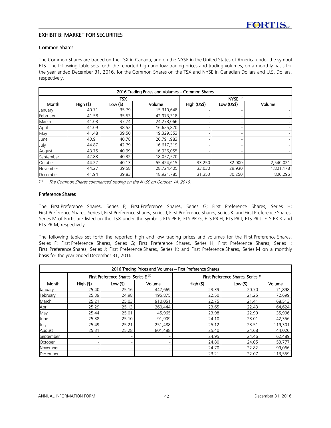# EXHIBIT B: MARKET FOR SECURITIES

# Common Shares

The Common Shares are traded on the TSX in Canada, and on the NYSE in the United States of America under the symbol FTS. The following table sets forth the reported high and low trading prices and trading volumes, on a monthly basis for the year ended December 31, 2016, for the Common Shares on the TSX and NYSE in Canadian Dollars and U.S. Dollars, respectively.

| 2016 Trading Prices and Volumes - Common Shares |        |            |            |                          |                 |           |  |
|-------------------------------------------------|--------|------------|------------|--------------------------|-----------------|-----------|--|
|                                                 |        | <b>TSX</b> |            | $NYSE$ $(1)$             |                 |           |  |
| Month                                           | High() | Low $($    | Volume     | High (US\$)              | Low (US\$)      | Volume    |  |
| January                                         | 40.71  | 35.79      | 15,310,648 |                          |                 |           |  |
| February                                        | 41.58  | 35.53      | 42,973,318 | $\qquad \qquad$          |                 |           |  |
| March                                           | 41.08  | 37.74      | 24,278,066 | $\overline{\phantom{0}}$ | -               |           |  |
| April                                           | 41.09  | 38.52      | 16,625,820 | $\equiv$                 | -               |           |  |
| May                                             | 41.48  | 39.50      | 19,329,553 | $\qquad \qquad$          | $\qquad \qquad$ |           |  |
| June                                            | 43.91  | 40.78      | 20,791,983 | -                        |                 |           |  |
| July                                            | 44.87  | 42.79      | 16,617,319 | $\equiv$                 | -               |           |  |
| August                                          | 43.75  | 40.99      | 16,936,055 | $\overline{\phantom{0}}$ | -               |           |  |
| September                                       | 42.83  | 40.32      | 18,057,520 | -                        | $\qquad \qquad$ |           |  |
| October                                         | 44.22  | 40.13      | 55,424,615 | 33.250                   | 32.000          | 2,540,021 |  |
| November                                        | 44.27  | 39.58      | 28,724,405 | 33.030                   | 29.930          | 1,801,178 |  |
| December                                        | 41.94  | 39.83      | 18,921,785 | 31.353                   | 30.250          | 800,296   |  |

*(1)* The Common Shares commenced trading on the NYSE on October 14, 2016.

#### Preference Shares

The First Preference Shares, Series F; First Preference Shares, Series G; First Preference Shares, Series H; First Preference Shares, Series I; First Preference Shares, Series J; First Preference Shares, Series K; and First Preference Shares, Series M of Fortis are listed on the TSX under the symbols FTS.PR.F; FTS.PR.G; FTS.PR.H; FTS.PR.I; FTS.PR.J; FTS.PR.K and FTS.PR.M, respectively.

The following tables set forth the reported high and low trading prices and volumes for the First Preference Shares, Series F; First Preference Shares, Series G; First Preference Shares, Series H; First Preference Shares, Series I; First Preference Shares, Series J; First Preference Shares, Series K; and First Preference Shares, Series M on a monthly basis for the year ended December 31, 2016.

| 2016 Trading Prices and Volumes - First Preference Shares |                                                  |                 |         |                                   |                     |         |  |  |  |  |
|-----------------------------------------------------------|--------------------------------------------------|-----------------|---------|-----------------------------------|---------------------|---------|--|--|--|--|
|                                                           | First Preference Shares, Series E <sup>(1)</sup> |                 |         | First Preference Shares, Series F |                     |         |  |  |  |  |
| Month                                                     | High(S)                                          | Low $($         | Volume  | High(S)                           | Low( <sub>s</sub> ) | Volume  |  |  |  |  |
| January                                                   | 25.40                                            | 25.16           | 447,669 | 23.39                             | 20.70               | 71,898  |  |  |  |  |
| February                                                  | 25.39                                            | 24.98           | 195,875 | 22.50                             | 21.25               | 72,699  |  |  |  |  |
| March                                                     | 25.21                                            | 25.03           | 910,051 | 22.75                             | 21.41               | 68,513  |  |  |  |  |
| April                                                     | 25.29                                            | 25.13           | 260,444 | 23.65                             | 22.43               | 64,624  |  |  |  |  |
| May                                                       | 25.44                                            | 25.01           | 45,965  | 23.98                             | 22.99               | 35,996  |  |  |  |  |
| June                                                      | 25.38                                            | 25.10           | 91,909  | 24.10                             | 23.01               | 42,356  |  |  |  |  |
| July                                                      | 25.49                                            | 25.21           | 251,488 | 25.12                             | 23.51               | 119,301 |  |  |  |  |
| August                                                    | 25.31                                            | 25.28           | 801,488 | 25.40                             | 24.68               | 44,020  |  |  |  |  |
| September                                                 |                                                  |                 |         | 24.95                             | 24.46               | 62,489  |  |  |  |  |
| October                                                   |                                                  |                 |         | 24.80                             | 24.05               | 53,777  |  |  |  |  |
| November                                                  |                                                  | $\qquad \qquad$ |         | 24.70                             | 22.82               | 99,066  |  |  |  |  |
| December                                                  |                                                  |                 |         | 23.21                             | 22.07               | 113,559 |  |  |  |  |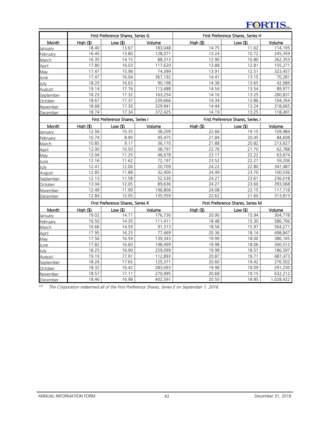# **FORTIS**

|               | First Preference Shares, Series G |            |         | First Preference Shares, Series H |            |           |  |
|---------------|-----------------------------------|------------|---------|-----------------------------------|------------|-----------|--|
| Month         | High()                            | $Low($ \$) | Volume  | High()                            | $Low($ \$) | Volume    |  |
| January       | 18.40                             | 13.67      | 183,048 | 14.75                             | 11.62      | 114,195   |  |
| February      | 16.40                             | 13.80      | 128,071 | 13.24                             | 10.72      | 245,359   |  |
| March         | 16.35                             | 14.15      | 88,313  | 12.90                             | 10.80      | 262,353   |  |
| April         | 17.80                             | 16.03      | 117,620 | 13.88                             | 12.81      | 155,271   |  |
| May           | 17.47                             | 15.98      | 74,399  | 13.91                             | 12.51      | 323,457   |  |
| June          | 17.47                             | 16.04      | 367,192 | 14.41                             | 13.15      | 70,281    |  |
| July          | 18.20                             | 16.63      | 90,198  | 14.38                             | 13.65      | 42,089    |  |
| August        | 19.14                             | 17.76      | 113,488 | 14.54                             | 13.54      | 89,971    |  |
| September     | 18.25                             | 17.32      | 163,254 | 14.16                             | 13.25      | 280,831   |  |
| October       | 18.67                             | 17.37      | 239,666 | 14.34                             | 13.86      | 104,354   |  |
| November      | 18.68                             | 17.30      | 329,941 | 14.44                             | 13.24      | 218,665   |  |
| December      | 18.74                             | 17.34      | 372,425 | 14.19                             | 13.25      | 118,491   |  |
|               | First Preference Shares, Series I |            |         | First Preference Shares, Series J |            |           |  |
| Month         | Hiah(S)                           | Low (\$)   | Volume  | High (\$)                         | Low $($    | Volume    |  |
| January       | 12.56                             | 10.35      | 38,209  | 22.66                             | 19.15      | 109,984   |  |
| February      | 10.74                             | 8.90       | 45,475  | 21.84                             | 20.45      | 84,608    |  |
| March         | 10.85                             | 9.17       | 36,170  | 21.88                             | 20.82      | 213,627   |  |
| April         | 12.00                             | 10.50      | 38,797  | 22.76                             | 21.70      | 62,788    |  |
| May           | 12.04                             | 11.25      | 46,678  | 23.17                             | 22.22      | 63,674    |  |
| June          | 12.16                             | 11.62      | 72,197  | 23.52                             | 22.27      | 59,206    |  |
| July          | 12.41                             | 12.00      | 20,709  | 24.22                             | 22.80      | 347,487   |  |
| August        | 12.85                             | 11.88      | 32,400  | 24.49                             | 23.70      | 100,536   |  |
| September     | 12.13                             | 11.58      | 52,530  | 24.27                             | 23.61      | 236,018   |  |
| October       | 13.04                             | 12.05      | 89,636  | 24.27                             | 23.60      | 393,068   |  |
| November      | 12.49                             | 11.99      | 196,806 | 24.08                             | 22.15      | 117,718   |  |
| December      | 12.84                             | 12.05      | 135,559 | 22.62                             | 21.60      | 313,813   |  |
|               | First Preference Shares, Series K |            |         | First Preference Shares, Series M |            |           |  |
| Month         | High (\$)                         | $Low($ \$) | Volume  | High()                            | $Low($ \$) | Volume    |  |
| January       | 19.02                             | 14.77      | 176,736 | 20.90                             | 15.94      | 304,778   |  |
| February      | 16.50                             | 14.35      | 111,411 | 18.48                             | 15.30      | 586,706   |  |
| March         | 16.66                             | 14.59      | 91,313  | 18.56                             | 15.97      | 564,271   |  |
| April         | 17.95                             | 16.25      | 77,469  | 20.36                             | 18.14      | 498,847   |  |
| May           | 17.56                             | 16.59      | 139,343 | 19.99                             | 18.00      | 386,165   |  |
| June          | 17.82                             | 16.60      | 148,499 | 19.98                             | 18.06      | 300,512   |  |
| July          | 18.25                             | 16.90      | 259,099 | 19.98                             | 18.57      | 186,597   |  |
| <b>August</b> | 19.19                             | 17.91      | 112,893 | 20.87                             | 19.71      | 487,473   |  |
| September     | 18.26                             | 17.65      | 125,371 | 20.60                             | 19.42      | 276,502   |  |
| October       | 18.32                             | 16.42      | 283,093 | 19.98                             | 19.09      | 291,230   |  |
| November      | 18.57                             | 17.11      | 270,995 | 20.68                             | 19.15      | 632,212   |  |
| December      | 18.46                             | 16.98      | 402,591 | 20.50                             | 18.85      | 1,028,422 |  |

*(1)* The Corporation redeemed all of the First Preference Shares, Series E on September 1, 2016.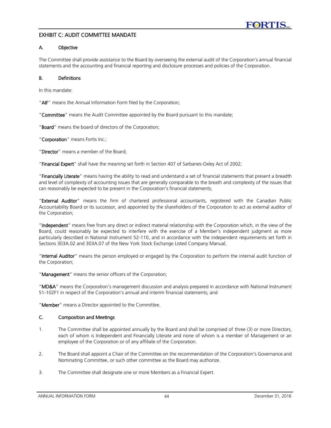# EXHIBIT C: AUDIT COMMITTEE MANDATE

# A. Objective

The Committee shall provide assistance to the Board by overseeing the external audit of the Corporation's annual financial statements and the accounting and financial reporting and disclosure processes and policies of the Corporation.

#### B. Definitions

In this mandate:

"AIF" means the Annual Information Form filed by the Corporation;

"Committee" means the Audit Committee appointed by the Board pursuant to this mandate;

"Board" means the board of directors of the Corporation;

"Corporation" means Fortis Inc.;

"Director" means a member of the Board:

"Financial Expert" shall have the meaning set forth in Section 407 of Sarbanes-Oxley Act of 2002;

"Financially Literate" means having the ability to read and understand a set of financial statements that present a breadth and level of complexity of accounting issues that are generally comparable to the breath and complexity of the issues that can reasonably be expected to be present in the Corporation's financial statements;

"External Auditor" means the firm of chartered professional accountants, registered with the Canadian Public Accountability Board or its successor, and appointed by the shareholders of the Corporation to act as external auditor of the Corporation;

"Independent" means free from any direct or indirect material relationship with the Corporation which, in the view of the Board, could reasonably be expected to interfere with the exercise of a Member's independent judgment as more particularly described in National Instrument 52-110, and in accordance with the independent requirements set forth in Sections 303A.02 and 303A.07 of the New York Stock Exchange Listed Company Manual;

"Internal Auditor" means the person employed or engaged by the Corporation to perform the internal audit function of the Corporation;

"Management" means the senior officers of the Corporation;

"MD&A" means the Corporation's management discussion and analysis prepared in accordance with National Instrument 51-102F1 in respect of the Corporation's annual and interim financial statements; and

"**Member**" means a Director appointed to the Committee.

# C. Composition and Meetings

- 1. The Committee shall be appointed annually by the Board and shall be comprised of three (3) or more Directors, each of whom is Independent and Financially Literate and none of whom is a member of Management or an employee of the Corporation or of any affiliate of the Corporation.
- 2. The Board shall appoint a Chair of the Committee on the recommendation of the Corporation's Governance and Nominating Committee, or such other committee as the Board may authorize.
- 3. The Committee shall designate one or more Members as a Financial Expert.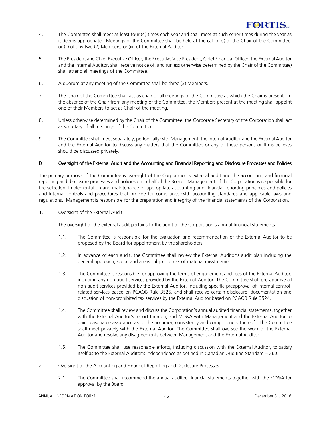- 4. The Committee shall meet at least four (4) times each year and shall meet at such other times during the year as it deems appropriate. Meetings of the Committee shall be held at the call of (i) of the Chair of the Committee, or (ii) of any two (2) Members, or (iii) of the External Auditor.
- 5. The President and Chief Executive Officer, the Executive Vice President, Chief Financial Officer, the External Auditor and the Internal Auditor, shall receive notice of, and (unless otherwise determined by the Chair of the Committee) shall attend all meetings of the Committee.
- 6. A quorum at any meeting of the Committee shall be three (3) Members.
- 7. The Chair of the Committee shall act as chair of all meetings of the Committee at which the Chair is present. In the absence of the Chair from any meeting of the Committee, the Members present at the meeting shall appoint one of their Members to act as Chair of the meeting.
- 8. Unless otherwise determined by the Chair of the Committee, the Corporate Secretary of the Corporation shall act as secretary of all meetings of the Committee.
- 9. The Committee shall meet separately, periodically with Management, the Internal Auditor and the External Auditor and the External Auditor to discuss any matters that the Committee or any of these persons or firms believes should be discussed privately.

# D. Oversight of the External Audit and the Accounting and Financial Reporting and Disclosure Processes and Policies

The primary purpose of the Committee is oversight of the Corporation's external audit and the accounting and financial reporting and disclosure processes and policies on behalf of the Board. Management of the Corporation is responsible for the selection, implementation and maintenance of appropriate accounting and financial reporting principles and policies and internal controls and procedures that provide for compliance with accounting standards and applicable laws and regulations. Management is responsible for the preparation and integrity of the financial statements of the Corporation.

1. Oversight of the External Audit

The oversight of the external audit pertains to the audit of the Corporation's annual financial statements.

- 1.1. The Committee is responsible for the evaluation and recommendation of the External Auditor to be proposed by the Board for appointment by the shareholders.
- 1.2. In advance of each audit, the Committee shall review the External Auditor's audit plan including the general approach, scope and areas subject to risk of material misstatement.
- 1.3. The Committee is responsible for approving the terms of engagement and fees of the External Auditor, including any non-audit services provided by the External Auditor. The Committee shall pre-approve all non-audit services provided by the External Auditor, including specific preapproval of internal controlrelated services based on PCAOB Rule 3525, and shall receive certain disclosure, documentation and discussion of non-prohibited tax services by the External Auditor based on PCAOB Rule 3524.
- 1.4. The Committee shall review and discuss the Corporation's annual audited financial statements, together with the External Auditor's report thereon, and MD&A with Management and the External Auditor to gain reasonable assurance as to the accuracy, consistency and completeness thereof. The Committee shall meet privately with the External Auditor. The Committee shall oversee the work of the External Auditor and resolve any disagreements between Management and the External Auditor.
- 1.5. The Committee shall use reasonable efforts, including discussion with the External Auditor, to satisfy itself as to the External Auditor's independence as defined in Canadian Auditing Standard – 260.
- 2. Oversight of the Accounting and Financial Reporting and Disclosure Processes
	- 2.1. The Committee shall recommend the annual audited financial statements together with the MD&A for approval by the Board.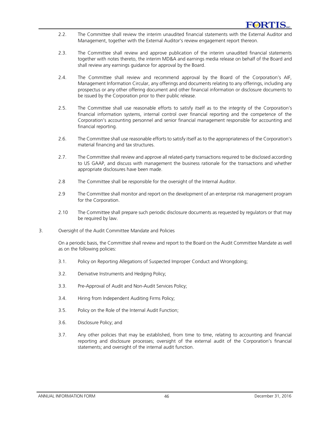- 2.2. The Committee shall review the interim unaudited financial statements with the External Auditor and Management, together with the External Auditor's review engagement report thereon.
- 2.3. The Committee shall review and approve publication of the interim unaudited financial statements together with notes thereto, the interim MD&A and earnings media release on behalf of the Board and shall review any earnings guidance for approval by the Board.
- 2.4. The Committee shall review and recommend approval by the Board of the Corporation's AIF, Management Information Circular, any offerings and documents relating to any offerings, including any prospectus or any other offering document and other financial information or disclosure documents to be issued by the Corporation prior to their public release.
- 2.5. The Committee shall use reasonable efforts to satisfy itself as to the integrity of the Corporation's financial information systems, internal control over financial reporting and the competence of the Corporation's accounting personnel and senior financial management responsible for accounting and financial reporting.
- 2.6. The Committee shall use reasonable efforts to satisfy itself as to the appropriateness of the Corporation's material financing and tax structures.
- 2.7. The Committee shall review and approve all related-party transactions required to be disclosed according to US GAAP, and discuss with management the business rationale for the transactions and whether appropriate disclosures have been made.
- 2.8 The Committee shall be responsible for the oversight of the Internal Auditor.
- 2.9 The Committee shall monitor and report on the development of an enterprise risk management program for the Corporation.
- 2.10 The Committee shall prepare such periodic disclosure documents as requested by regulators or that may be required by law.
- 3. Oversight of the Audit Committee Mandate and Policies

On a periodic basis, the Committee shall review and report to the Board on the Audit Committee Mandate as well as on the following policies:

- 3.1. Policy on Reporting Allegations of Suspected Improper Conduct and Wrongdoing;
- 3.2. Derivative Instruments and Hedging Policy;
- 3.3. Pre-Approval of Audit and Non-Audit Services Policy;
- 3.4. Hiring from Independent Auditing Firms Policy;
- 3.5. Policy on the Role of the Internal Audit Function;
- 3.6. Disclosure Policy; and
- 3.7. Any other policies that may be established, from time to time, relating to accounting and financial reporting and disclosure processes; oversight of the external audit of the Corporation's financial statements; and oversight of the internal audit function.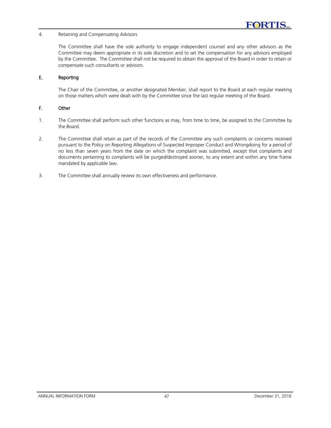#### 4. Retaining and Compensating Advisors

The Committee shall have the sole authority to engage independent counsel and any other advisors as the Committee may deem appropriate in its sole discretion and to set the compensation for any advisors employed by the Committee. The Committee shall not be required to obtain the approval of the Board in order to retain or compensate such consultants or advisors.

#### E. Reporting

The Chair of the Committee, or another designated Member, shall report to the Board at each regular meeting on those matters which were dealt with by the Committee since the last regular meeting of the Board.

# F. Other

- 1. The Committee shall perform such other functions as may, from time to time, be assigned to the Committee by the Board.
- 2. The Committee shall retain as part of the records of the Committee any such complaints or concerns received pursuant to the Policy on Reporting Allegations of Suspected Improper Conduct and Wrongdoing for a period of no less than seven years from the date on which the complaint was submitted, except that complaints and documents pertaining to complaints will be purged/destroyed sooner, to any extent and within any time frame mandated by applicable law.
- 3. The Committee shall annually review its own effectiveness and performance.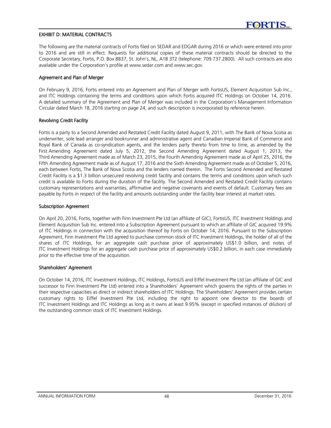# EXHIBIT D: MATERIAL CONTRACTS

The following are the material contracts of Fortis filed on SEDAR and EDGAR during 2016 or which were entered into prior to 2016 and are still in effect. Requests for additional copies of these material contracts should be directed to the Corporate Secretary, Fortis, P.O. Box 8837, St. John's, NL, A1B 3T2 (telephone: 709.737.2800). All such contracts are also available under the Corporation's profile at www.sedar.com and www.sec.gov.

#### Agreement and Plan of Merger

On February 9, 2016, Fortis entered into an Agreement and Plan of Merger with FortisUS, Element Acquisition Sub Inc., and ITC Holdings containing the terms and conditions upon which Fortis acquired ITC Holdings on October 14, 2016. A detailed summary of the Agreement and Plan of Merger was included in the Corporation's Management Information Circular dated March 18, 2016 starting on page 24, and such description is incorporated by reference herein.

#### Revolving Credit Facility

Fortis is a party to a Second Amended and Restated Credit Facility dated August 9, 2011, with The Bank of Nova Scotia as underwriter, sole lead arranger and bookrunner and administrative agent and Canadian Imperial Bank of Commerce and Royal Bank of Canada as co-syndication agents, and the lenders party thereto from time to time, as amended by the First Amending Agreement dated July 5, 2012, the Second Amending Agreement dated August 1, 2013, the Third Amending Agreement made as of March 23, 2015, the Fourth Amending Agreement made as of April 25, 2016, the Fifth Amending Agreement made as of August 17, 2016 and the Sixth Amending Agreement made as of October 5, 2016, each between Fortis, The Bank of Nova Scotia and the lenders named therein. The Fortis Second Amended and Restated Credit Facility is a \$1.3 billion unsecured revolving credit facility and contains the terms and conditions upon which such credit is available to Fortis during the duration of the facility. The Second Amended and Restated Credit Facility contains customary representations and warranties, affirmative and negative covenants and events of default. Customary fees are payable by Fortis in respect of the facility and amounts outstanding under the facility bear interest at market rates.

#### Subscription Agreement

On April 20, 2016, Fortis, together with Finn Investment Pte Ltd (an affiliate of GIC), FortisUS, ITC Investment Holdings and Element Acquisition Sub Inc. entered into a Subscription Agreement pursuant to which an affiliate of GIC acquired 19.9% of ITC Holdings in connection with the acquisition thereof by Fortis on October 14, 2016. Pursuant to the Subscription Agreement, Finn Investment Pte Ltd agreed to purchase common stock of ITC Investment Holdings, the holder of all of the shares of ITC Holdings, for an aggregate cash purchase price of approximately US\$1.0 billion, and notes of ITC Investment Holdings for an aggregate cash purchase price of approximately US\$0.2 billion, in each case immediately prior to the effective time of the acquisition.

# Shareholders' Agreement

On October 14, 2016, ITC Investment Holdings, ITC Holdings, FortisUS and Eiffel Investment Pte Ltd (an affiliate of GIC and successor to Finn Investment Pte Ltd) entered into a Shareholders' Agreement which governs the rights of the parties in their respective capacities as direct or indirect shareholders of ITC Holdings. The Shareholders' Agreement provides certain customary rights to Eiffel Investment Pte Ltd, including the right to appoint one director to the boards of ITC Investment Holdings and ITC Holdings as long as it owns at least 9.95% (except in specified instances of dilution) of the outstanding common stock of ITC Investment Holdings.